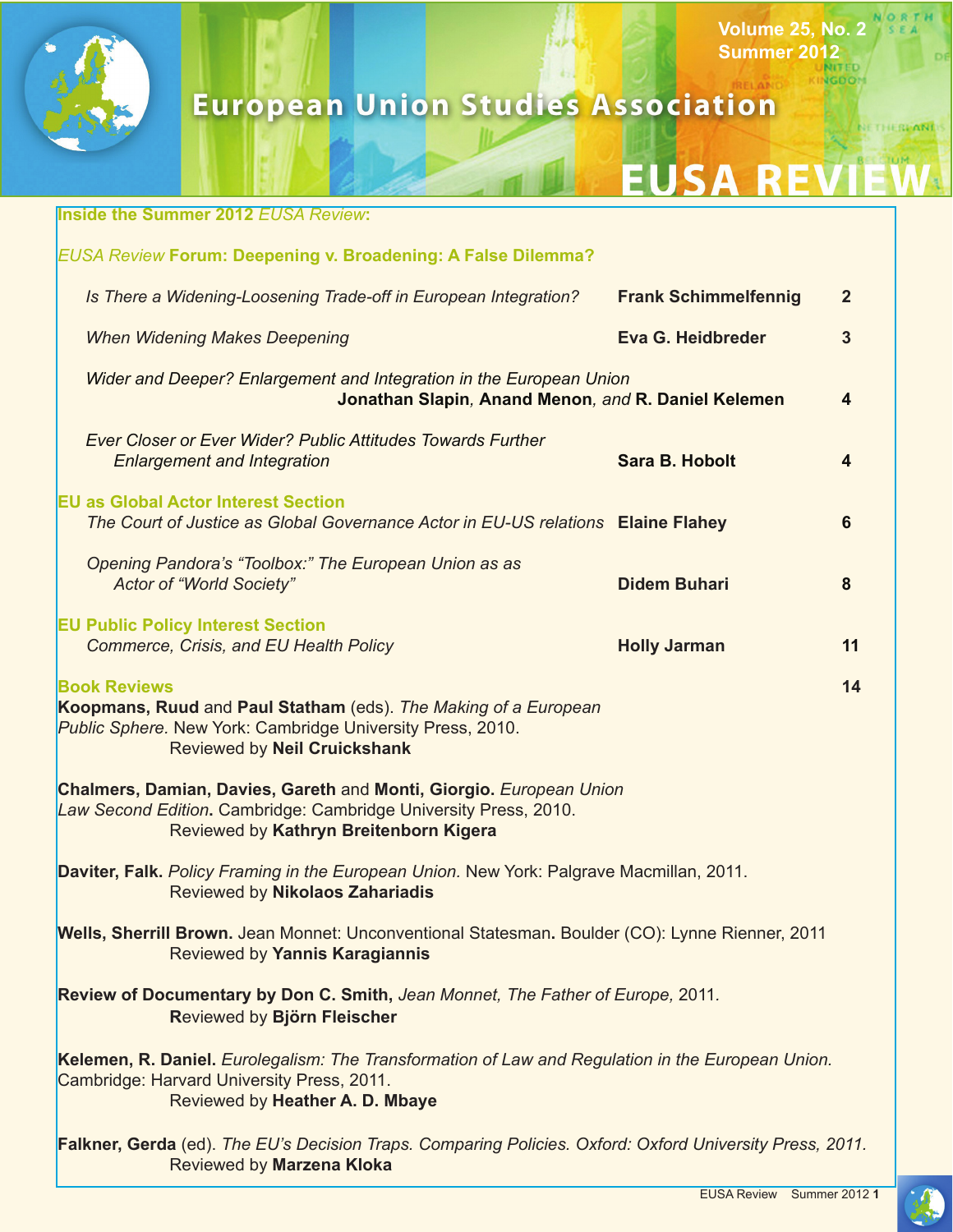

# **European Union Studies Association**

# **EUSA REY**

**Volume 25, No. 2 Summer 2012**

**NGDOM** 

ORTH

NETHERPANDS

|                                                                                                                                                                                            | <b>Inside the Summer 2012 EUSA Review:</b>                                                                                                                                         |                             |                |  |  |
|--------------------------------------------------------------------------------------------------------------------------------------------------------------------------------------------|------------------------------------------------------------------------------------------------------------------------------------------------------------------------------------|-----------------------------|----------------|--|--|
|                                                                                                                                                                                            | <b>EUSA Review Forum: Deepening v. Broadening: A False Dilemma?</b>                                                                                                                |                             |                |  |  |
|                                                                                                                                                                                            | Is There a Widening-Loosening Trade-off in European Integration?                                                                                                                   | <b>Frank Schimmelfennig</b> | $\overline{2}$ |  |  |
|                                                                                                                                                                                            | <b>When Widening Makes Deepening</b>                                                                                                                                               | Eva G. Heidbreder           | 3              |  |  |
|                                                                                                                                                                                            | Wider and Deeper? Enlargement and Integration in the European Union<br>Jonathan Slapin, Anand Menon, and R. Daniel Kelemen<br>$\overline{\mathbf{4}}$                              |                             |                |  |  |
|                                                                                                                                                                                            | Ever Closer or Ever Wider? Public Attitudes Towards Further<br><b>Enlargement and Integration</b>                                                                                  | <b>Sara B. Hobolt</b>       | 4              |  |  |
|                                                                                                                                                                                            | <b>EU as Global Actor Interest Section</b><br>The Court of Justice as Global Governance Actor in EU-US relations Elaine Flahey                                                     |                             | 6              |  |  |
|                                                                                                                                                                                            | Opening Pandora's "Toolbox:" The European Union as as<br><b>Actor of "World Society"</b>                                                                                           | <b>Didem Buhari</b>         | 8              |  |  |
|                                                                                                                                                                                            | <b>EU Public Policy Interest Section</b><br>Commerce, Crisis, and EU Health Policy                                                                                                 | <b>Holly Jarman</b>         | 11             |  |  |
| <b>Book Reviews</b><br>14<br>Koopmans, Ruud and Paul Statham (eds). The Making of a European<br>Public Sphere. New York: Cambridge University Press, 2010.<br>Reviewed by Neil Cruickshank |                                                                                                                                                                                    |                             |                |  |  |
| Chalmers, Damian, Davies, Gareth and Monti, Giorgio. European Union<br>Law Second Edition. Cambridge: Cambridge University Press, 2010.<br>Reviewed by Kathryn Breitenborn Kigera          |                                                                                                                                                                                    |                             |                |  |  |
| Daviter, Falk. Policy Framing in the European Union. New York: Palgrave Macmillan, 2011.<br>Reviewed by Nikolaos Zahariadis                                                                |                                                                                                                                                                                    |                             |                |  |  |
|                                                                                                                                                                                            | Wells, Sherrill Brown. Jean Monnet: Unconventional Statesman. Boulder (CO): Lynne Rienner, 2011<br>Reviewed by Yannis Karagiannis                                                  |                             |                |  |  |
| Review of Documentary by Don C. Smith, Jean Monnet, The Father of Europe, 2011.<br>Reviewed by Björn Fleischer                                                                             |                                                                                                                                                                                    |                             |                |  |  |
|                                                                                                                                                                                            | Kelemen, R. Daniel. Eurolegalism: The Transformation of Law and Regulation in the European Union.<br>Cambridge: Harvard University Press, 2011.<br>Reviewed by Heather A. D. Mbaye |                             |                |  |  |
|                                                                                                                                                                                            | Falkner, Gerda (ed). The EU's Decision Traps. Comparing Policies. Oxford: Oxford University Press, 2011.<br>Reviewed by Marzena Kloka                                              |                             |                |  |  |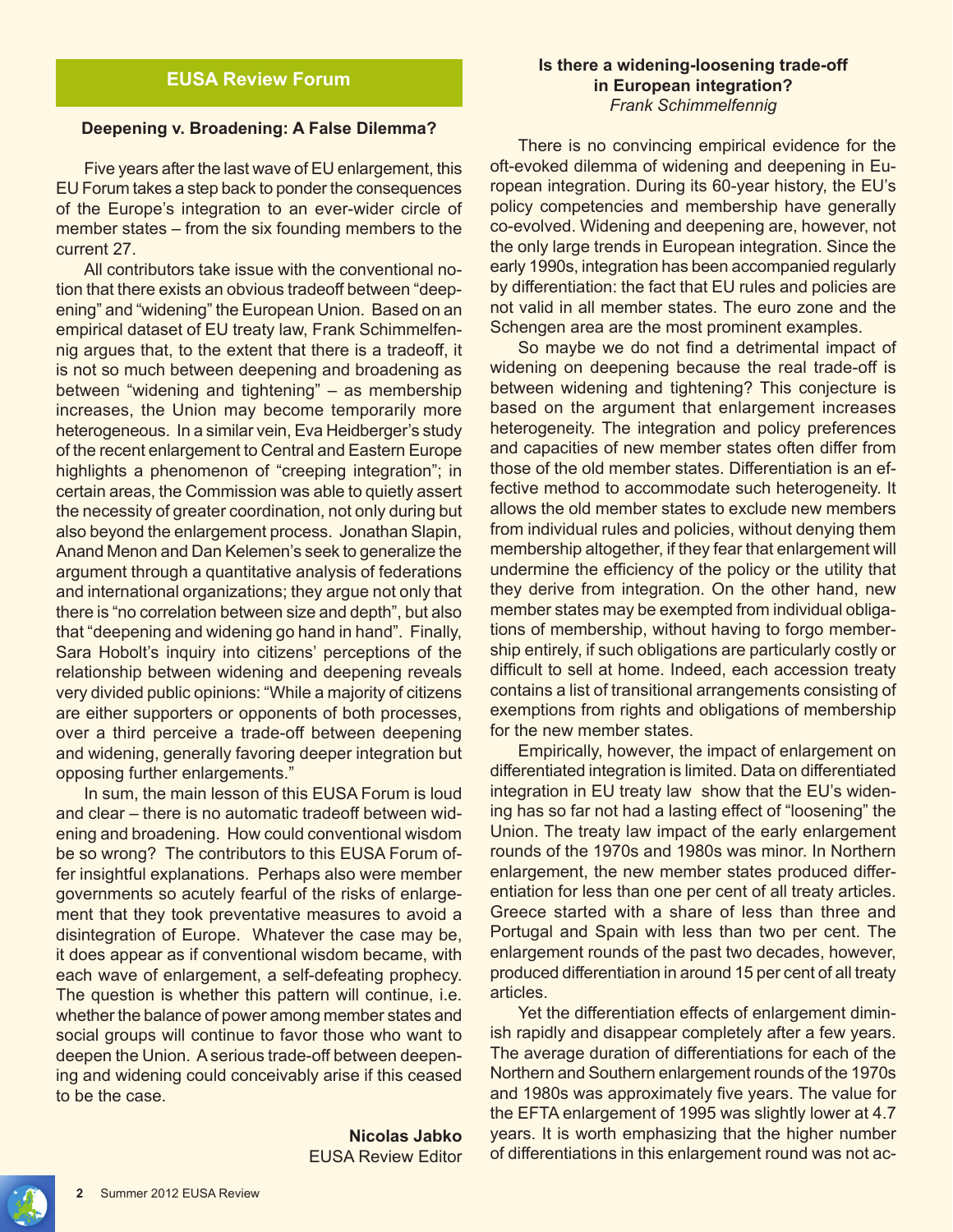# **EUSA Review Forum**

#### **Deepening v. Broadening: A False Dilemma?**

Five years after the last wave of EU enlargement, this EU Forum takes a step back to ponder the consequences of the Europe's integration to an ever-wider circle of member states – from the six founding members to the current 27.

All contributors take issue with the conventional notion that there exists an obvious tradeoff between "deepening" and "widening" the European Union. Based on an empirical dataset of EU treaty law, Frank Schimmelfennig argues that, to the extent that there is a tradeoff, it is not so much between deepening and broadening as between "widening and tightening" – as membership increases, the Union may become temporarily more heterogeneous. In a similar vein, Eva Heidberger's study of the recent enlargement to Central and Eastern Europe highlights a phenomenon of "creeping integration"; in certain areas, the Commission was able to quietly assert the necessity of greater coordination, not only during but also beyond the enlargement process. Jonathan Slapin, Anand Menon and Dan Kelemen's seek to generalize the argument through a quantitative analysis of federations and international organizations; they argue not only that there is "no correlation between size and depth", but also that "deepening and widening go hand in hand". Finally, Sara Hobolt's inquiry into citizens' perceptions of the relationship between widening and deepening reveals very divided public opinions: "While a majority of citizens are either supporters or opponents of both processes, over a third perceive a trade-off between deepening and widening, generally favoring deeper integration but opposing further enlargements."

In sum, the main lesson of this EUSA Forum is loud and clear – there is no automatic tradeoff between widening and broadening. How could conventional wisdom be so wrong? The contributors to this EUSA Forum offer insightful explanations. Perhaps also were member governments so acutely fearful of the risks of enlargement that they took preventative measures to avoid a disintegration of Europe. Whatever the case may be, it does appear as if conventional wisdom became, with each wave of enlargement, a self-defeating prophecy. The question is whether this pattern will continue, i.e. whether the balance of power among member states and social groups will continue to favor those who want to deepen the Union. A serious trade-off between deepening and widening could conceivably arise if this ceased to be the case.

> **Nicolas Jabko** EUSA Review Editor

#### **Is there a widening-loosening trade-off in European integration?** *Frank Schimmelfennig*

There is no convincing empirical evidence for the oft-evoked dilemma of widening and deepening in European integration. During its 60-year history, the EU's policy competencies and membership have generally co-evolved. Widening and deepening are, however, not the only large trends in European integration. Since the early 1990s, integration has been accompanied regularly by differentiation: the fact that EU rules and policies are not valid in all member states. The euro zone and the Schengen area are the most prominent examples.

 So maybe we do not find a detrimental impact of widening on deepening because the real trade-off is between widening and tightening? This conjecture is based on the argument that enlargement increases heterogeneity. The integration and policy preferences and capacities of new member states often differ from those of the old member states. Differentiation is an effective method to accommodate such heterogeneity. It allows the old member states to exclude new members from individual rules and policies, without denying them membership altogether, if they fear that enlargement will undermine the efficiency of the policy or the utility that they derive from integration. On the other hand, new member states may be exempted from individual obligations of membership, without having to forgo membership entirely, if such obligations are particularly costly or difficult to sell at home. Indeed, each accession treaty contains a list of transitional arrangements consisting of exemptions from rights and obligations of membership for the new member states.

Empirically, however, the impact of enlargement on differentiated integration is limited. Data on differentiated integration in EU treaty law show that the EU's widening has so far not had a lasting effect of "loosening" the Union. The treaty law impact of the early enlargement rounds of the 1970s and 1980s was minor. In Northern enlargement, the new member states produced differentiation for less than one per cent of all treaty articles. Greece started with a share of less than three and Portugal and Spain with less than two per cent. The enlargement rounds of the past two decades, however, produced differentiation in around 15 per cent of all treaty articles.

Yet the differentiation effects of enlargement diminish rapidly and disappear completely after a few years. The average duration of differentiations for each of the Northern and Southern enlargement rounds of the 1970s and 1980s was approximately five years. The value for the EFTA enlargement of 1995 was slightly lower at 4.7 years. It is worth emphasizing that the higher number of differentiations in this enlargement round was not ac-

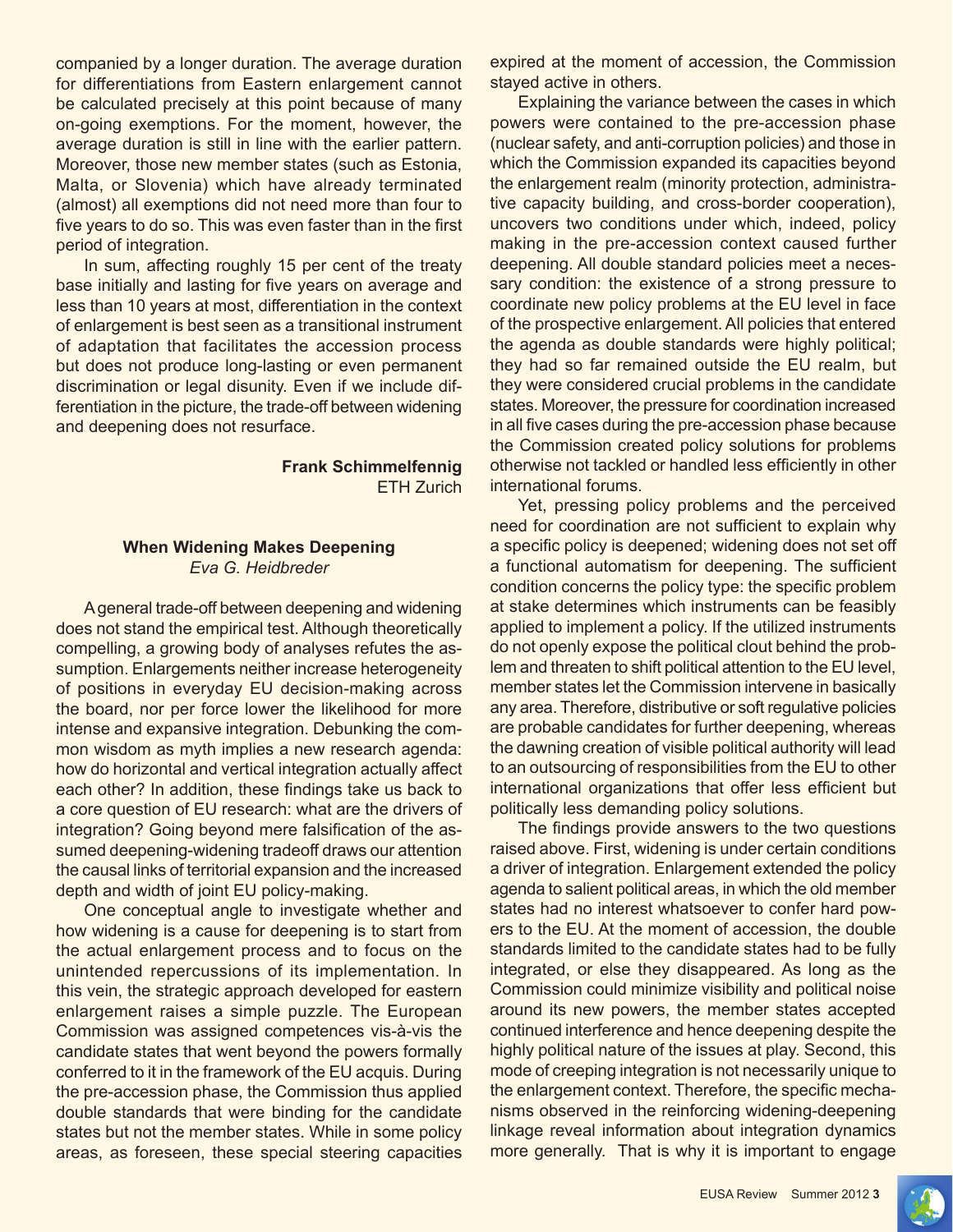companied by a longer duration. The average duration for differentiations from Eastern enlargement cannot be calculated precisely at this point because of many on-going exemptions. For the moment, however, the average duration is still in line with the earlier pattern. Moreover, those new member states (such as Estonia, Malta, or Slovenia) which have already terminated (almost) all exemptions did not need more than four to five years to do so. This was even faster than in the first period of integration.

In sum, affecting roughly 15 per cent of the treaty base initially and lasting for five years on average and less than 10 years at most, differentiation in the context of enlargement is best seen as a transitional instrument of adaptation that facilitates the accession process but does not produce long-lasting or even permanent discrimination or legal disunity. Even if we include differentiation in the picture, the trade-off between widening and deepening does not resurface.

#### **Frank Schimmelfennig** ETH Zurich

#### **When Widening Makes Deepening** *Eva G. Heidbreder*

A general trade-off between deepening and widening does not stand the empirical test. Although theoretically compelling, a growing body of analyses refutes the assumption. Enlargements neither increase heterogeneity of positions in everyday EU decision-making across the board, nor per force lower the likelihood for more intense and expansive integration. Debunking the common wisdom as myth implies a new research agenda: how do horizontal and vertical integration actually affect each other? In addition, these findings take us back to a core question of EU research: what are the drivers of integration? Going beyond mere falsification of the assumed deepening-widening tradeoff draws our attention the causal links of territorial expansion and the increased depth and width of joint EU policy-making.

One conceptual angle to investigate whether and how widening is a cause for deepening is to start from the actual enlargement process and to focus on the unintended repercussions of its implementation. In this vein, the strategic approach developed for eastern enlargement raises a simple puzzle. The European Commission was assigned competences vis-à-vis the candidate states that went beyond the powers formally conferred to it in the framework of the EU acquis. During the pre-accession phase, the Commission thus applied double standards that were binding for the candidate states but not the member states. While in some policy areas, as foreseen, these special steering capacities expired at the moment of accession, the Commission stayed active in others.

Explaining the variance between the cases in which powers were contained to the pre-accession phase (nuclear safety, and anti-corruption policies) and those in which the Commission expanded its capacities beyond the enlargement realm (minority protection, administrative capacity building, and cross-border cooperation), uncovers two conditions under which, indeed, policy making in the pre-accession context caused further deepening. All double standard policies meet a necessary condition: the existence of a strong pressure to coordinate new policy problems at the EU level in face of the prospective enlargement. All policies that entered the agenda as double standards were highly political; they had so far remained outside the EU realm, but they were considered crucial problems in the candidate states. Moreover, the pressure for coordination increased in all five cases during the pre-accession phase because the Commission created policy solutions for problems otherwise not tackled or handled less efficiently in other international forums.

Yet, pressing policy problems and the perceived need for coordination are not sufficient to explain why a specific policy is deepened; widening does not set off a functional automatism for deepening. The sufficient condition concerns the policy type: the specific problem at stake determines which instruments can be feasibly applied to implement a policy. If the utilized instruments do not openly expose the political clout behind the problem and threaten to shift political attention to the EU level, member states let the Commission intervene in basically any area. Therefore, distributive or soft regulative policies are probable candidates for further deepening, whereas the dawning creation of visible political authority will lead to an outsourcing of responsibilities from the EU to other international organizations that offer less efficient but politically less demanding policy solutions.

 The findings provide answers to the two questions raised above. First, widening is under certain conditions a driver of integration. Enlargement extended the policy agenda to salient political areas, in which the old member states had no interest whatsoever to confer hard powers to the EU. At the moment of accession, the double standards limited to the candidate states had to be fully integrated, or else they disappeared. As long as the Commission could minimize visibility and political noise around its new powers, the member states accepted continued interference and hence deepening despite the highly political nature of the issues at play. Second, this mode of creeping integration is not necessarily unique to the enlargement context. Therefore, the specific mechanisms observed in the reinforcing widening-deepening linkage reveal information about integration dynamics more generally. That is why it is important to engage

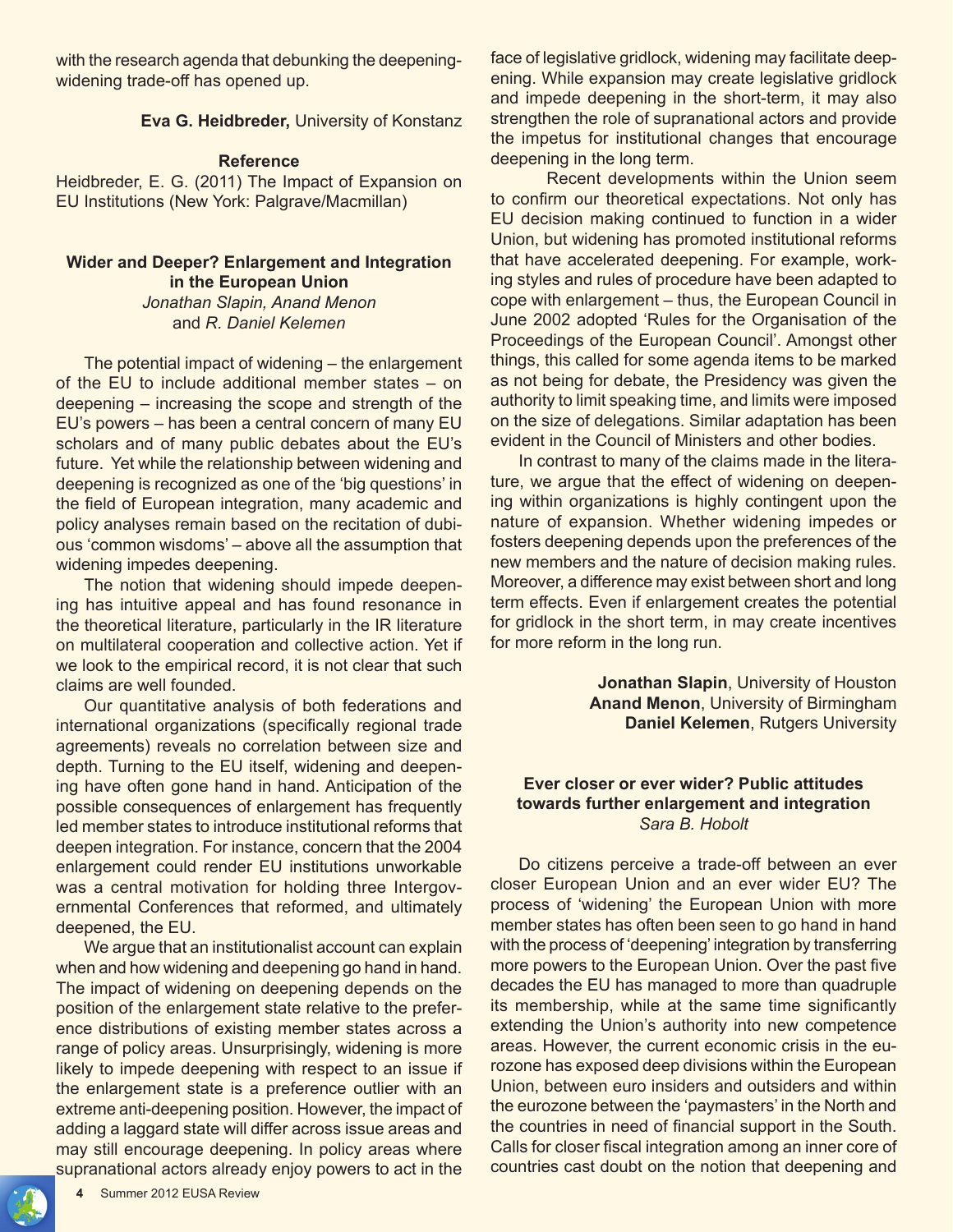with the research agenda that debunking the deepeningwidening trade-off has opened up.

#### **Eva G. Heidbreder,** University of Konstanz

#### **Reference**

Heidbreder, E. G. (2011) The Impact of Expansion on EU Institutions (New York: Palgrave/Macmillan)

# **Wider and Deeper? Enlargement and Integration in the European Union**

*Jonathan Slapin, Anand Menon* and *R. Daniel Kelemen*

The potential impact of widening – the enlargement of the EU to include additional member states – on deepening – increasing the scope and strength of the EU's powers – has been a central concern of many EU scholars and of many public debates about the EU's future. Yet while the relationship between widening and deepening is recognized as one of the 'big questions' in the field of European integration, many academic and policy analyses remain based on the recitation of dubious 'common wisdoms' – above all the assumption that widening impedes deepening.

The notion that widening should impede deepening has intuitive appeal and has found resonance in the theoretical literature, particularly in the IR literature on multilateral cooperation and collective action. Yet if we look to the empirical record, it is not clear that such claims are well founded.

Our quantitative analysis of both federations and international organizations (specifically regional trade agreements) reveals no correlation between size and depth. Turning to the EU itself, widening and deepening have often gone hand in hand. Anticipation of the possible consequences of enlargement has frequently led member states to introduce institutional reforms that deepen integration. For instance, concern that the 2004 enlargement could render EU institutions unworkable was a central motivation for holding three Intergovernmental Conferences that reformed, and ultimately deepened, the EU.

We argue that an institutionalist account can explain when and how widening and deepening go hand in hand. The impact of widening on deepening depends on the position of the enlargement state relative to the preference distributions of existing member states across a range of policy areas. Unsurprisingly, widening is more likely to impede deepening with respect to an issue if the enlargement state is a preference outlier with an extreme anti-deepening position. However, the impact of adding a laggard state will differ across issue areas and may still encourage deepening. In policy areas where supranational actors already enjoy powers to act in the

face of legislative gridlock, widening may facilitate deepening. While expansion may create legislative gridlock and impede deepening in the short-term, it may also strengthen the role of supranational actors and provide the impetus for institutional changes that encourage deepening in the long term.

 Recent developments within the Union seem to confirm our theoretical expectations. Not only has EU decision making continued to function in a wider Union, but widening has promoted institutional reforms that have accelerated deepening. For example, working styles and rules of procedure have been adapted to cope with enlargement – thus, the European Council in June 2002 adopted 'Rules for the Organisation of the Proceedings of the European Council'. Amongst other things, this called for some agenda items to be marked as not being for debate, the Presidency was given the authority to limit speaking time, and limits were imposed on the size of delegations. Similar adaptation has been evident in the Council of Ministers and other bodies.

In contrast to many of the claims made in the literature, we argue that the effect of widening on deepening within organizations is highly contingent upon the nature of expansion. Whether widening impedes or fosters deepening depends upon the preferences of the new members and the nature of decision making rules. Moreover, a difference may exist between short and long term effects. Even if enlargement creates the potential for gridlock in the short term, in may create incentives for more reform in the long run.

> **Jonathan Slapin**, University of Houston **Anand Menon**, University of Birmingham **Daniel Kelemen**, Rutgers University

# **Ever closer or ever wider? Public attitudes towards further enlargement and integration** *Sara B. Hobolt*

Do citizens perceive a trade-off between an ever closer European Union and an ever wider EU? The process of 'widening' the European Union with more member states has often been seen to go hand in hand with the process of 'deepening' integration by transferring more powers to the European Union. Over the past five decades the EU has managed to more than quadruple its membership, while at the same time significantly extending the Union's authority into new competence areas. However, the current economic crisis in the eurozone has exposed deep divisions within the European Union, between euro insiders and outsiders and within the eurozone between the 'paymasters' in the North and the countries in need of financial support in the South. Calls for closer fiscal integration among an inner core of countries cast doubt on the notion that deepening and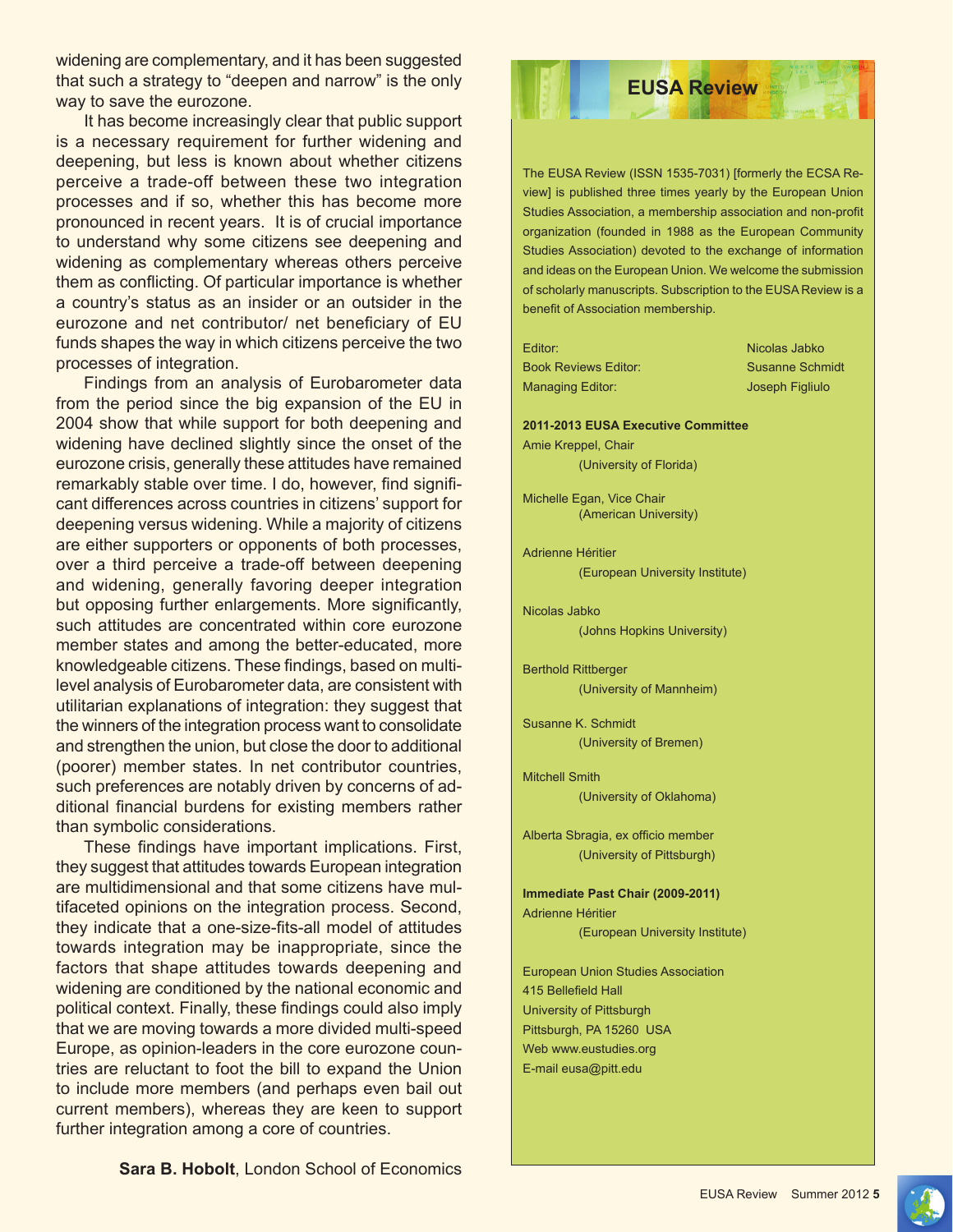widening are complementary, and it has been suggested that such a strategy to "deepen and narrow" is the only way to save the eurozone.

It has become increasingly clear that public support is a necessary requirement for further widening and deepening, but less is known about whether citizens perceive a trade-off between these two integration processes and if so, whether this has become more pronounced in recent years. It is of crucial importance to understand why some citizens see deepening and widening as complementary whereas others perceive them as conflicting. Of particular importance is whether a country's status as an insider or an outsider in the eurozone and net contributor/ net beneficiary of EU funds shapes the way in which citizens perceive the two processes of integration.

Findings from an analysis of Eurobarometer data from the period since the big expansion of the EU in 2004 show that while support for both deepening and widening have declined slightly since the onset of the eurozone crisis, generally these attitudes have remained remarkably stable over time. I do, however, find significant differences across countries in citizens' support for deepening versus widening. While a majority of citizens are either supporters or opponents of both processes, over a third perceive a trade-off between deepening and widening, generally favoring deeper integration but opposing further enlargements. More significantly, such attitudes are concentrated within core eurozone member states and among the better-educated, more knowledgeable citizens. These findings, based on multilevel analysis of Eurobarometer data, are consistent with utilitarian explanations of integration: they suggest that the winners of the integration process want to consolidate and strengthen the union, but close the door to additional (poorer) member states. In net contributor countries, such preferences are notably driven by concerns of additional financial burdens for existing members rather than symbolic considerations.

 These findings have important implications. First, they suggest that attitudes towards European integration are multidimensional and that some citizens have multifaceted opinions on the integration process. Second, they indicate that a one-size-fits-all model of attitudes towards integration may be inappropriate, since the factors that shape attitudes towards deepening and widening are conditioned by the national economic and political context. Finally, these findings could also imply that we are moving towards a more divided multi-speed Europe, as opinion-leaders in the core eurozone countries are reluctant to foot the bill to expand the Union to include more members (and perhaps even bail out current members), whereas they are keen to support further integration among a core of countries.

The EUSA Review (ISSN 1535-7031) [formerly the ECSA Review] is published three times yearly by the European Union Studies Association, a membership association and non-profit organization (founded in 1988 as the European Community Studies Association) devoted to the exchange of information and ideas on the European Union. We welcome the submission of scholarly manuscripts. Subscription to the EUSA Review is a benefit of Association membership.

**EUSA Review** 

Editor: Nicolas Jabko Book Reviews Editor: Susanne Schmidt Managing Editor: Joseph Figliulo

**2011-2013 EUSA Executive Committee** Amie Kreppel, Chair

(University of Florida)

Michelle Egan, Vice Chair (American University)

Adrienne Héritier (European University Institute)

Nicolas Jabko (Johns Hopkins University)

Berthold Rittberger (University of Mannheim)

Susanne K. Schmidt (University of Bremen)

Mitchell Smith (University of Oklahoma)

Alberta Sbragia, ex officio member (University of Pittsburgh)

**Immediate Past Chair (2009-2011)** Adrienne Héritier (European University Institute)

European Union Studies Association 415 Bellefield Hall University of Pittsburgh Pittsburgh, PA 15260 USA Web www.eustudies.org E-mail eusa@pitt.edu

**Sara B. Hobolt**, London School of Economics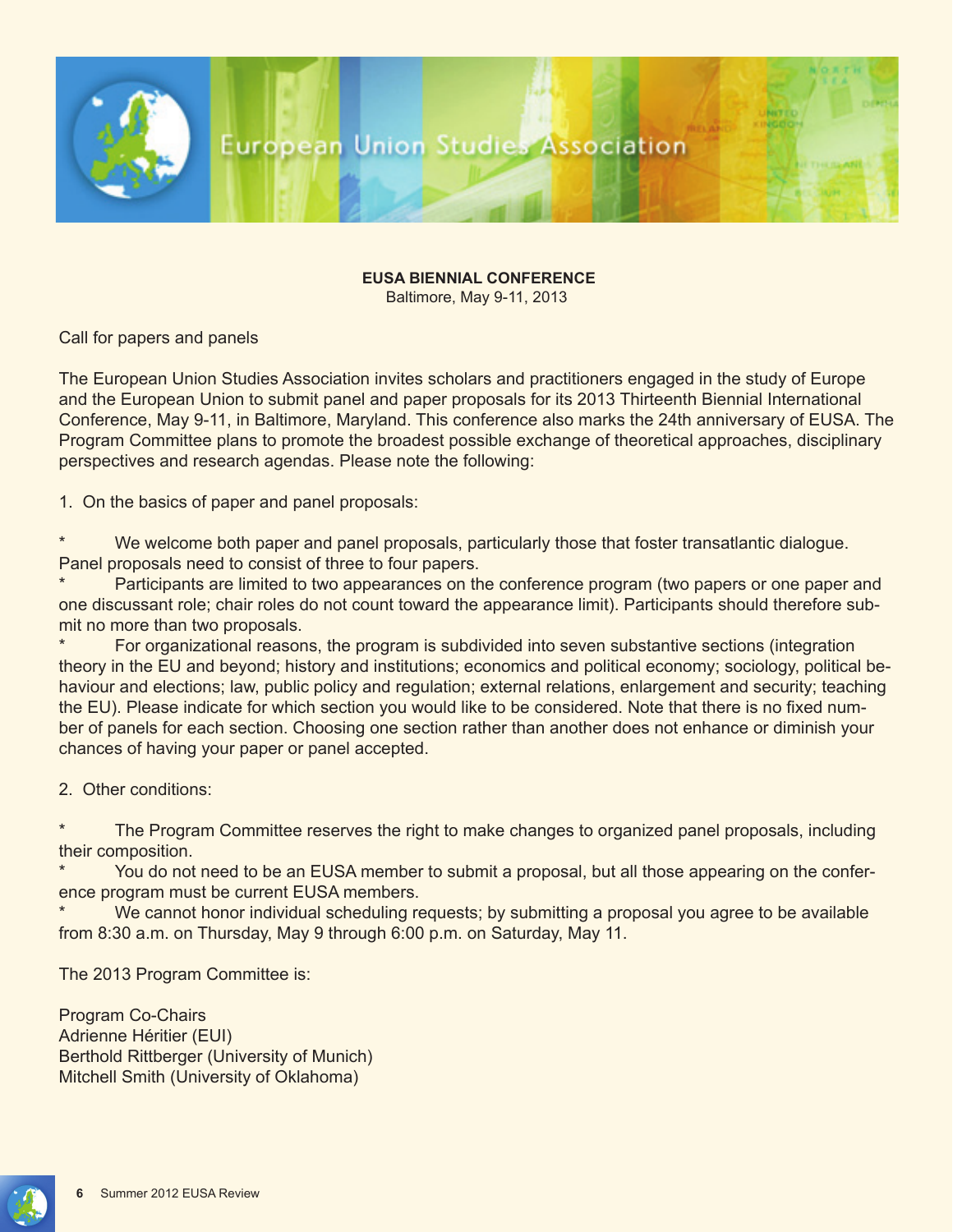

# **EUSA BIENNIAL CONFERENCE**

Baltimore, May 9-11, 2013

Call for papers and panels

The European Union Studies Association invites scholars and practitioners engaged in the study of Europe and the European Union to submit panel and paper proposals for its 2013 Thirteenth Biennial International Conference, May 9-11, in Baltimore, Maryland. This conference also marks the 24th anniversary of EUSA. The Program Committee plans to promote the broadest possible exchange of theoretical approaches, disciplinary perspectives and research agendas. Please note the following:

1. On the basics of paper and panel proposals:

We welcome both paper and panel proposals, particularly those that foster transatlantic dialogue. Panel proposals need to consist of three to four papers.

Participants are limited to two appearances on the conference program (two papers or one paper and one discussant role; chair roles do not count toward the appearance limit). Participants should therefore submit no more than two proposals.

For organizational reasons, the program is subdivided into seven substantive sections (integration theory in the EU and beyond; history and institutions; economics and political economy; sociology, political behaviour and elections; law, public policy and regulation; external relations, enlargement and security; teaching the EU). Please indicate for which section you would like to be considered. Note that there is no fixed number of panels for each section. Choosing one section rather than another does not enhance or diminish your chances of having your paper or panel accepted.

2. Other conditions:

The Program Committee reserves the right to make changes to organized panel proposals, including their composition.

You do not need to be an EUSA member to submit a proposal, but all those appearing on the conference program must be current EUSA members.

We cannot honor individual scheduling requests; by submitting a proposal you agree to be available from 8:30 a.m. on Thursday, May 9 through 6:00 p.m. on Saturday, May 11.

The 2013 Program Committee is:

Program Co-Chairs Adrienne Héritier (EUI) Berthold Rittberger (University of Munich) Mitchell Smith (University of Oklahoma)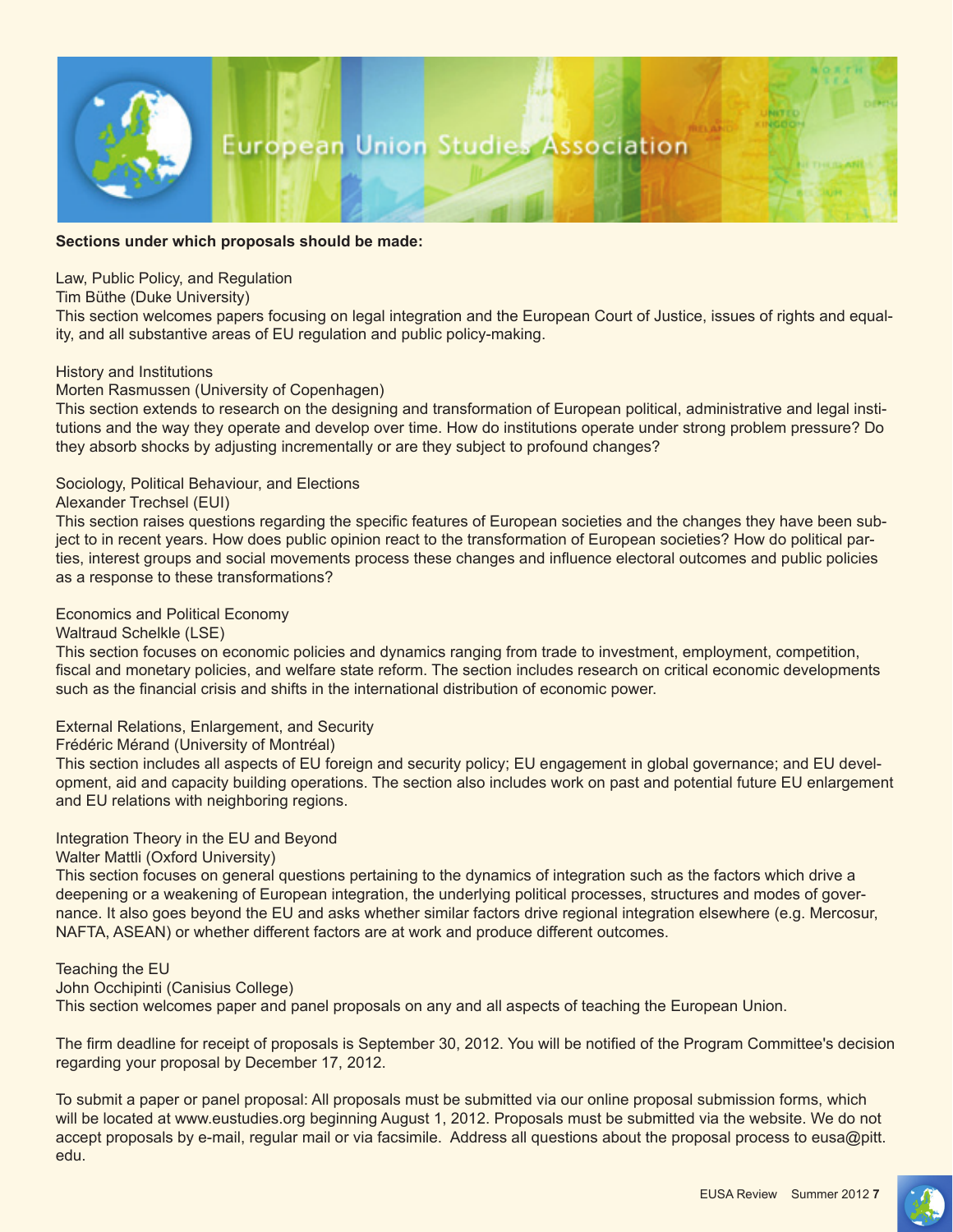

#### **Sections under which proposals should be made:**

Law, Public Policy, and Regulation

Tim Büthe (Duke University)

This section welcomes papers focusing on legal integration and the European Court of Justice, issues of rights and equality, and all substantive areas of EU regulation and public policy-making.

#### History and Institutions

#### Morten Rasmussen (University of Copenhagen)

This section extends to research on the designing and transformation of European political, administrative and legal institutions and the way they operate and develop over time. How do institutions operate under strong problem pressure? Do they absorb shocks by adjusting incrementally or are they subject to profound changes?

#### Sociology, Political Behaviour, and Elections

#### Alexander Trechsel (EUI)

This section raises questions regarding the specific features of European societies and the changes they have been subject to in recent years. How does public opinion react to the transformation of European societies? How do political parties, interest groups and social movements process these changes and influence electoral outcomes and public policies as a response to these transformations?

#### Economics and Political Economy

Waltraud Schelkle (LSE)

This section focuses on economic policies and dynamics ranging from trade to investment, employment, competition, fiscal and monetary policies, and welfare state reform. The section includes research on critical economic developments such as the financial crisis and shifts in the international distribution of economic power.

#### External Relations, Enlargement, and Security

Frédéric Mérand (University of Montréal)

This section includes all aspects of EU foreign and security policy; EU engagement in global governance; and EU development, aid and capacity building operations. The section also includes work on past and potential future EU enlargement and EU relations with neighboring regions.

#### Integration Theory in the EU and Beyond

Walter Mattli (Oxford University)

This section focuses on general questions pertaining to the dynamics of integration such as the factors which drive a deepening or a weakening of European integration, the underlying political processes, structures and modes of governance. It also goes beyond the EU and asks whether similar factors drive regional integration elsewhere (e.g. Mercosur, NAFTA, ASEAN) or whether different factors are at work and produce different outcomes.

#### Teaching the EU

#### John Occhipinti (Canisius College)

This section welcomes paper and panel proposals on any and all aspects of teaching the European Union.

The firm deadline for receipt of proposals is September 30, 2012. You will be notified of the Program Committee's decision regarding your proposal by December 17, 2012.

To submit a paper or panel proposal: All proposals must be submitted via our online proposal submission forms, which will be located at www.eustudies.org beginning August 1, 2012. Proposals must be submitted via the website. We do not accept proposals by e-mail, regular mail or via facsimile. Address all questions about the proposal process to eusa@pitt. edu.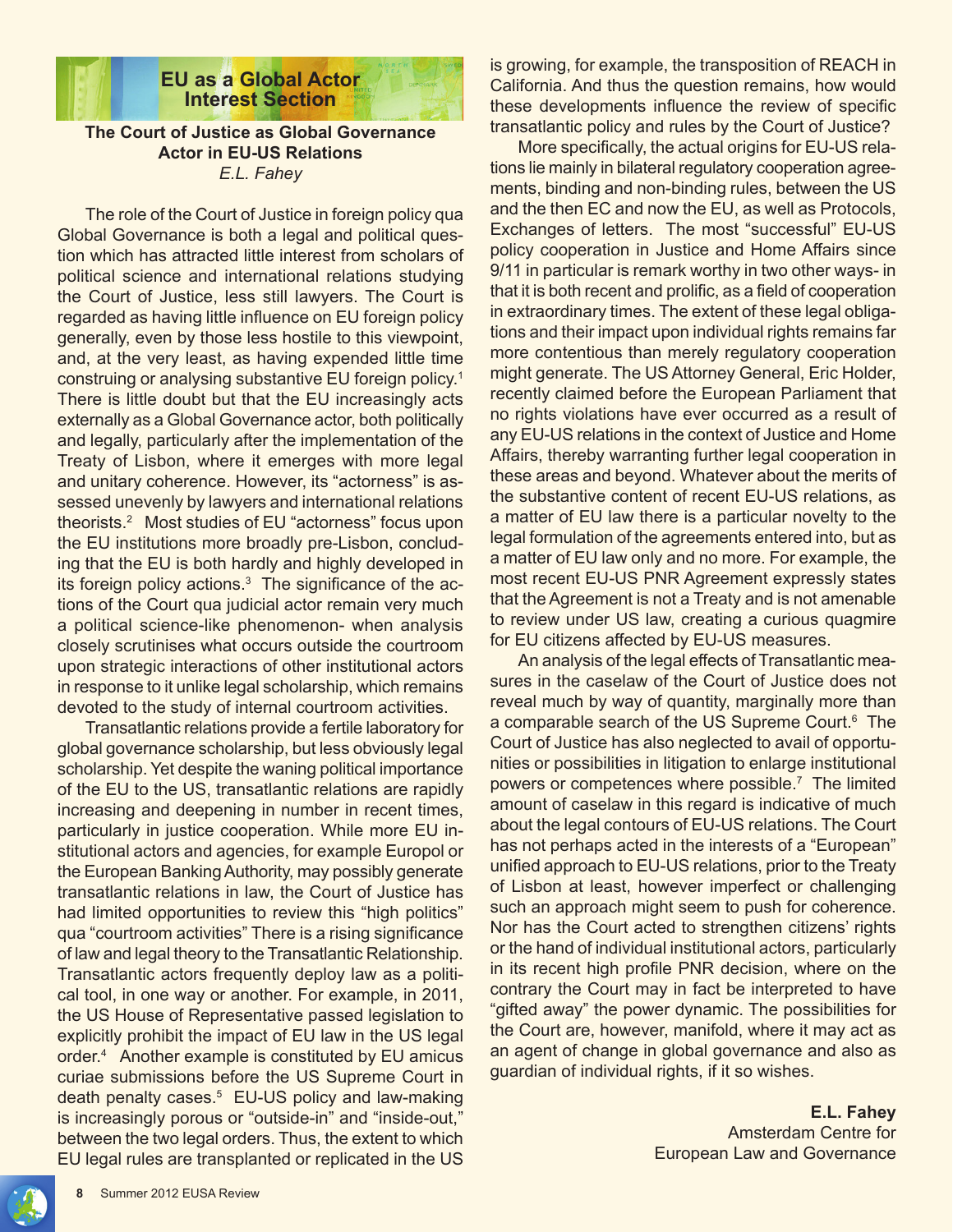

# **EU as a Global Actor Interest Section**

## **The Court of Justice as Global Governance Actor in EU-US Relations** *E.L. Fahey*

The role of the Court of Justice in foreign policy qua Global Governance is both a legal and political question which has attracted little interest from scholars of political science and international relations studying the Court of Justice, less still lawyers. The Court is regarded as having little influence on EU foreign policy generally, even by those less hostile to this viewpoint, and, at the very least, as having expended little time construing or analysing substantive EU foreign policy.1 There is little doubt but that the EU increasingly acts externally as a Global Governance actor, both politically and legally, particularly after the implementation of the Treaty of Lisbon, where it emerges with more legal and unitary coherence. However, its "actorness" is assessed unevenly by lawyers and international relations theorists.2 Most studies of EU "actorness" focus upon the EU institutions more broadly pre-Lisbon, concluding that the EU is both hardly and highly developed in its foreign policy actions.<sup>3</sup> The significance of the actions of the Court qua judicial actor remain very much a political science-like phenomenon- when analysis closely scrutinises what occurs outside the courtroom upon strategic interactions of other institutional actors in response to it unlike legal scholarship, which remains devoted to the study of internal courtroom activities.

Transatlantic relations provide a fertile laboratory for global governance scholarship, but less obviously legal scholarship. Yet despite the waning political importance of the EU to the US, transatlantic relations are rapidly increasing and deepening in number in recent times, particularly in justice cooperation. While more EU institutional actors and agencies, for example Europol or the European Banking Authority, may possibly generate transatlantic relations in law, the Court of Justice has had limited opportunities to review this "high politics" qua "courtroom activities" There is a rising significance of law and legal theory to the Transatlantic Relationship. Transatlantic actors frequently deploy law as a political tool, in one way or another. For example, in 2011, the US House of Representative passed legislation to explicitly prohibit the impact of EU law in the US legal order.4 Another example is constituted by EU amicus curiae submissions before the US Supreme Court in death penalty cases.<sup>5</sup> EU-US policy and law-making is increasingly porous or "outside-in" and "inside-out," between the two legal orders. Thus, the extent to which EU legal rules are transplanted or replicated in the US

is growing, for example, the transposition of REACH in California. And thus the question remains, how would these developments influence the review of specific transatlantic policy and rules by the Court of Justice?

 More specifically, the actual origins for EU-US relations lie mainly in bilateral regulatory cooperation agreements, binding and non-binding rules, between the US and the then EC and now the EU, as well as Protocols, Exchanges of letters. The most "successful" EU-US policy cooperation in Justice and Home Affairs since 9/11 in particular is remark worthy in two other ways- in that it is both recent and prolific, as a field of cooperation in extraordinary times. The extent of these legal obligations and their impact upon individual rights remains far more contentious than merely regulatory cooperation might generate. The US Attorney General, Eric Holder, recently claimed before the European Parliament that no rights violations have ever occurred as a result of any EU-US relations in the context of Justice and Home Affairs, thereby warranting further legal cooperation in these areas and beyond. Whatever about the merits of the substantive content of recent EU-US relations, as a matter of EU law there is a particular novelty to the legal formulation of the agreements entered into, but as a matter of EU law only and no more. For example, the most recent EU-US PNR Agreement expressly states that the Agreement is not a Treaty and is not amenable to review under US law, creating a curious quagmire for EU citizens affected by EU-US measures.

An analysis of the legal effects of Transatlantic measures in the caselaw of the Court of Justice does not reveal much by way of quantity, marginally more than a comparable search of the US Supreme Court.<sup>6</sup> The Court of Justice has also neglected to avail of opportunities or possibilities in litigation to enlarge institutional powers or competences where possible.7 The limited amount of caselaw in this regard is indicative of much about the legal contours of EU-US relations. The Court has not perhaps acted in the interests of a "European" unified approach to EU-US relations, prior to the Treaty of Lisbon at least, however imperfect or challenging such an approach might seem to push for coherence. Nor has the Court acted to strengthen citizens' rights or the hand of individual institutional actors, particularly in its recent high profile PNR decision, where on the contrary the Court may in fact be interpreted to have "gifted away" the power dynamic. The possibilities for the Court are, however, manifold, where it may act as an agent of change in global governance and also as guardian of individual rights, if it so wishes.

# **E.L. Fahey** Amsterdam Centre for European Law and Governance

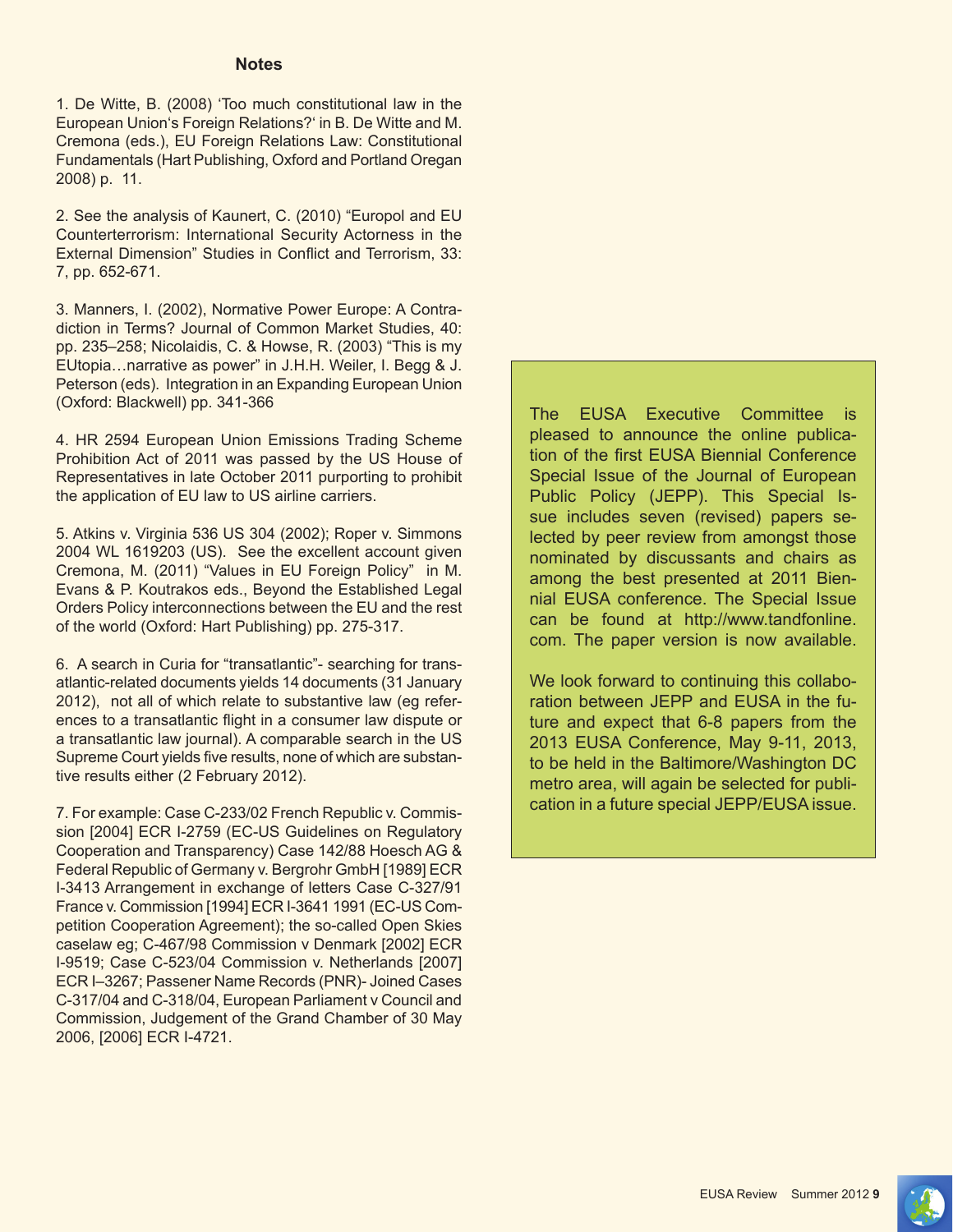#### **Notes**

1. De Witte, B. (2008) 'Too much constitutional law in the European Union's Foreign Relations?' in B. De Witte and M. Cremona (eds.), EU Foreign Relations Law: Constitutional Fundamentals (Hart Publishing, Oxford and Portland Oregan 2008) p. 11.

2. See the analysis of Kaunert, C. (2010) "Europol and EU Counterterrorism: International Security Actorness in the External Dimension" Studies in Conflict and Terrorism, 33: 7, pp. 652-671.

3. Manners, I. (2002), Normative Power Europe: A Contradiction in Terms? Journal of Common Market Studies, 40: pp. 235–258; Nicolaidis, C. & Howse, R. (2003) "This is my EUtopia…narrative as power" in J.H.H. Weiler, I. Begg & J. Peterson (eds). Integration in an Expanding European Union (Oxford: Blackwell) pp. 341-366

4. HR 2594 European Union Emissions Trading Scheme Prohibition Act of 2011 was passed by the US House of Representatives in late October 2011 purporting to prohibit the application of EU law to US airline carriers.

5. Atkins v. Virginia 536 US 304 (2002); Roper v. Simmons 2004 WL 1619203 (US). See the excellent account given Cremona, M. (2011) "Values in EU Foreign Policy" in M. Evans & P. Koutrakos eds., Beyond the Established Legal Orders Policy interconnections between the EU and the rest of the world (Oxford: Hart Publishing) pp. 275-317.

6. A search in Curia for "transatlantic"- searching for transatlantic-related documents yields 14 documents (31 January 2012), not all of which relate to substantive law (eg references to a transatlantic flight in a consumer law dispute or a transatlantic law journal). A comparable search in the US Supreme Court yields five results, none of which are substantive results either (2 February 2012).

7. For example: Case C-233/02 French Republic v. Commission [2004] ECR I-2759 (EC-US Guidelines on Regulatory Cooperation and Transparency) Case 142/88 Hoesch AG & Federal Republic of Germany v. Bergrohr GmbH [1989] ECR I-3413 Arrangement in exchange of letters Case C-327/91 France v. Commission [1994] ECR I-3641 1991 (EC-US Competition Cooperation Agreement); the so-called Open Skies caselaw eg; C-467/98 Commission v Denmark [2002] ECR I-9519; Case C-523/04 Commission v. Netherlands [2007] ECR I–3267; Passener Name Records (PNR)- Joined Cases C-317/04 and C-318/04, European Parliament v Council and Commission, Judgement of the Grand Chamber of 30 May 2006, [2006] ECR I-4721.

The EUSA Executive Committee is pleased to announce the online publication of the first EUSA Biennial Conference Special Issue of the Journal of European Public Policy (JEPP). This Special Issue includes seven (revised) papers selected by peer review from amongst those nominated by discussants and chairs as among the best presented at 2011 Biennial EUSA conference. The Special Issue can be found at http://www.tandfonline. com. The paper version is now available.

We look forward to continuing this collaboration between JEPP and EUSA in the future and expect that 6-8 papers from the 2013 EUSA Conference, May 9-11, 2013, to be held in the Baltimore/Washington DC metro area, will again be selected for publication in a future special JEPP/EUSA issue.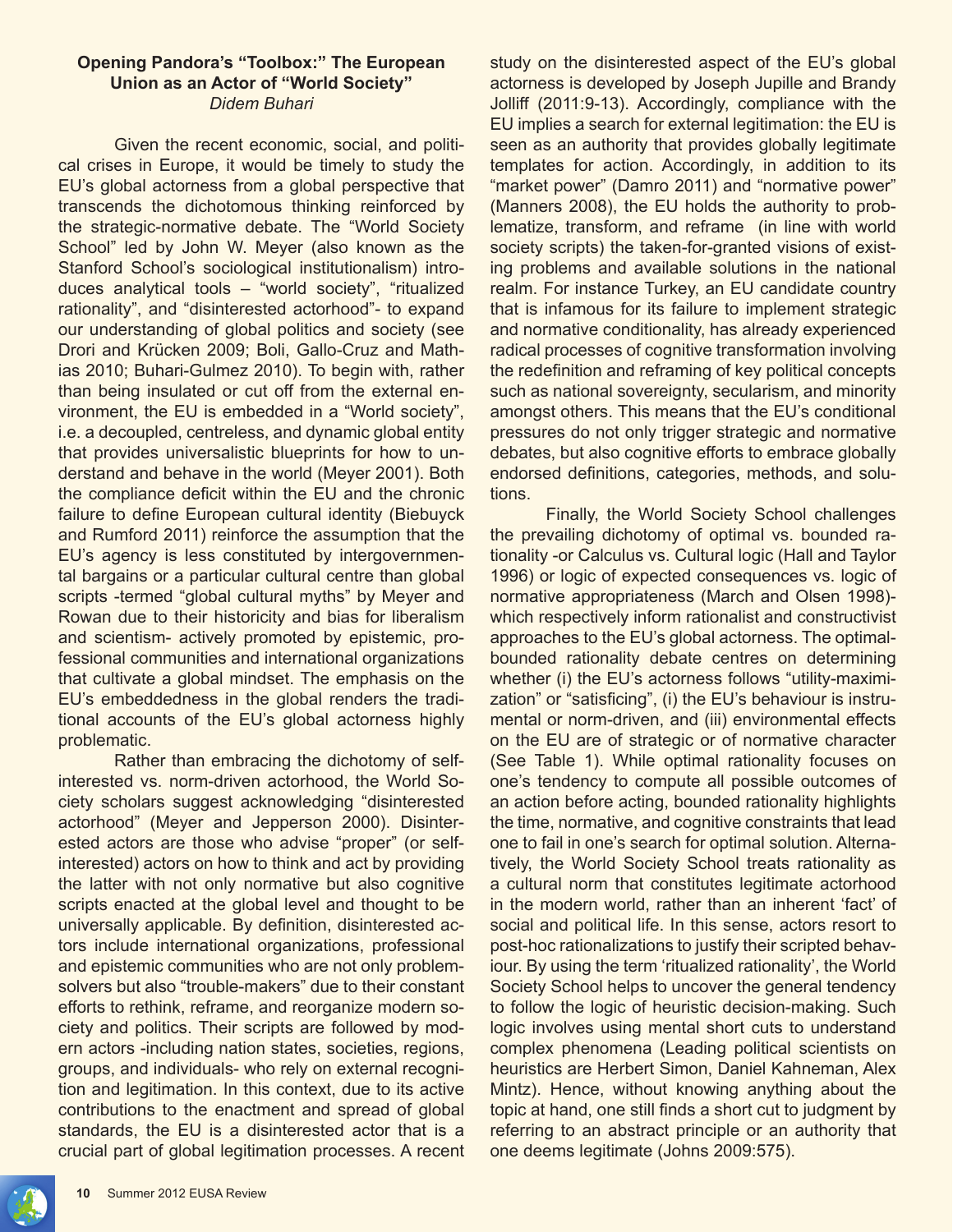#### **Opening Pandora's "Toolbox:" The European Union as an Actor of "World Society"** *Didem Buhari*

Given the recent economic, social, and political crises in Europe, it would be timely to study the EU's global actorness from a global perspective that transcends the dichotomous thinking reinforced by the strategic-normative debate. The "World Society School" led by John W. Meyer (also known as the Stanford School's sociological institutionalism) introduces analytical tools – "world society", "ritualized rationality", and "disinterested actorhood"- to expand our understanding of global politics and society (see Drori and Krücken 2009; Boli, Gallo-Cruz and Mathias 2010; Buhari-Gulmez 2010). To begin with, rather than being insulated or cut off from the external environment, the EU is embedded in a "World society", i.e. a decoupled, centreless, and dynamic global entity that provides universalistic blueprints for how to understand and behave in the world (Meyer 2001). Both the compliance deficit within the EU and the chronic failure to define European cultural identity (Biebuyck and Rumford 2011) reinforce the assumption that the EU's agency is less constituted by intergovernmental bargains or a particular cultural centre than global scripts -termed "global cultural myths" by Meyer and Rowan due to their historicity and bias for liberalism and scientism- actively promoted by epistemic, professional communities and international organizations that cultivate a global mindset. The emphasis on the EU's embeddedness in the global renders the traditional accounts of the EU's global actorness highly problematic.

Rather than embracing the dichotomy of selfinterested vs. norm-driven actorhood, the World Society scholars suggest acknowledging "disinterested actorhood" (Meyer and Jepperson 2000). Disinterested actors are those who advise "proper" (or selfinterested) actors on how to think and act by providing the latter with not only normative but also cognitive scripts enacted at the global level and thought to be universally applicable. By definition, disinterested actors include international organizations, professional and epistemic communities who are not only problemsolvers but also "trouble-makers" due to their constant efforts to rethink, reframe, and reorganize modern society and politics. Their scripts are followed by modern actors -including nation states, societies, regions, groups, and individuals- who rely on external recognition and legitimation. In this context, due to its active contributions to the enactment and spread of global standards, the EU is a disinterested actor that is a crucial part of global legitimation processes. A recent study on the disinterested aspect of the EU's global actorness is developed by Joseph Jupille and Brandy Jolliff (2011:9-13). Accordingly, compliance with the EU implies a search for external legitimation: the EU is seen as an authority that provides globally legitimate templates for action. Accordingly, in addition to its "market power" (Damro 2011) and "normative power" (Manners 2008), the EU holds the authority to problematize, transform, and reframe (in line with world society scripts) the taken-for-granted visions of existing problems and available solutions in the national realm. For instance Turkey, an EU candidate country that is infamous for its failure to implement strategic and normative conditionality, has already experienced radical processes of cognitive transformation involving the redefinition and reframing of key political concepts such as national sovereignty, secularism, and minority amongst others. This means that the EU's conditional pressures do not only trigger strategic and normative debates, but also cognitive efforts to embrace globally endorsed definitions, categories, methods, and solutions.

Finally, the World Society School challenges the prevailing dichotomy of optimal vs. bounded rationality -or Calculus vs. Cultural logic (Hall and Taylor 1996) or logic of expected consequences vs. logic of normative appropriateness (March and Olsen 1998) which respectively inform rationalist and constructivist approaches to the EU's global actorness. The optimalbounded rationality debate centres on determining whether (i) the EU's actorness follows "utility-maximization" or "satisficing", (i) the EU's behaviour is instrumental or norm-driven, and (iii) environmental effects on the EU are of strategic or of normative character (See Table 1). While optimal rationality focuses on one's tendency to compute all possible outcomes of an action before acting, bounded rationality highlights the time, normative, and cognitive constraints that lead one to fail in one's search for optimal solution. Alternatively, the World Society School treats rationality as a cultural norm that constitutes legitimate actorhood in the modern world, rather than an inherent 'fact' of social and political life. In this sense, actors resort to post-hoc rationalizations to justify their scripted behaviour. By using the term 'ritualized rationality', the World Society School helps to uncover the general tendency to follow the logic of heuristic decision-making. Such logic involves using mental short cuts to understand complex phenomena (Leading political scientists on heuristics are Herbert Simon, Daniel Kahneman, Alex Mintz). Hence, without knowing anything about the topic at hand, one still finds a short cut to judgment by referring to an abstract principle or an authority that one deems legitimate (Johns 2009:575).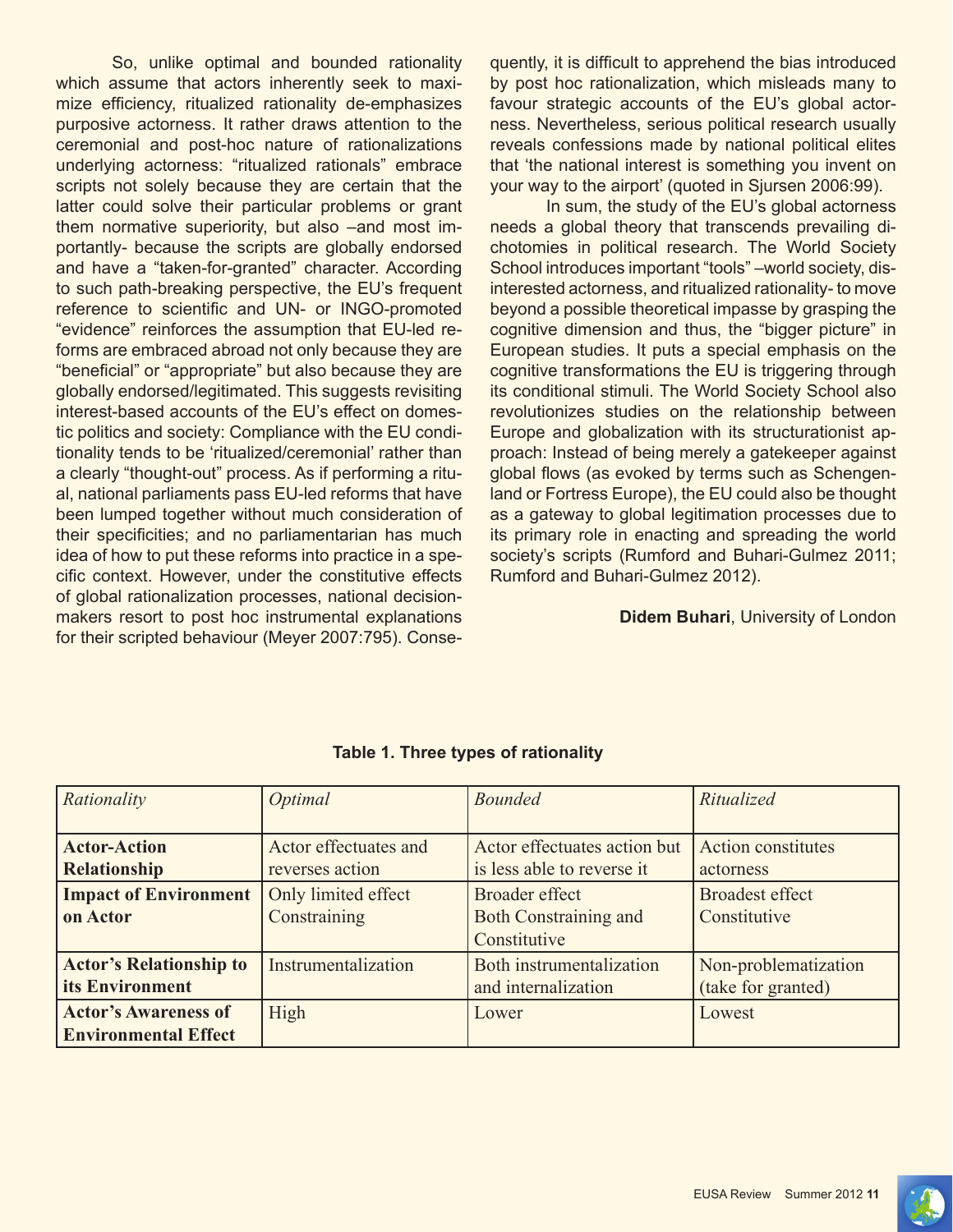So, unlike optimal and bounded rationality which assume that actors inherently seek to maximize efficiency, ritualized rationality de-emphasizes purposive actorness. It rather draws attention to the ceremonial and post-hoc nature of rationalizations underlying actorness: "ritualized rationals" embrace scripts not solely because they are certain that the latter could solve their particular problems or grant them normative superiority, but also –and most importantly- because the scripts are globally endorsed and have a "taken-for-granted" character. According to such path-breaking perspective, the EU's frequent reference to scientific and UN- or INGO-promoted "evidence" reinforces the assumption that EU-led reforms are embraced abroad not only because they are "beneficial" or "appropriate" but also because they are globally endorsed/legitimated. This suggests revisiting interest-based accounts of the EU's effect on domestic politics and society: Compliance with the EU conditionality tends to be 'ritualized/ceremonial' rather than a clearly "thought-out" process. As if performing a ritual, national parliaments pass EU-led reforms that have been lumped together without much consideration of their specificities; and no parliamentarian has much idea of how to put these reforms into practice in a specific context. However, under the constitutive effects of global rationalization processes, national decisionmakers resort to post hoc instrumental explanations for their scripted behaviour (Meyer 2007:795). Consequently, it is difficult to apprehend the bias introduced by post hoc rationalization, which misleads many to favour strategic accounts of the EU's global actorness. Nevertheless, serious political research usually reveals confessions made by national political elites that 'the national interest is something you invent on your way to the airport' (quoted in Sjursen 2006:99).

In sum, the study of the EU's global actorness needs a global theory that transcends prevailing dichotomies in political research. The World Society School introduces important "tools" –world society, disinterested actorness, and ritualized rationality- to move beyond a possible theoretical impasse by grasping the cognitive dimension and thus, the "bigger picture" in European studies. It puts a special emphasis on the cognitive transformations the EU is triggering through its conditional stimuli. The World Society School also revolutionizes studies on the relationship between Europe and globalization with its structurationist approach: Instead of being merely a gatekeeper against global flows (as evoked by terms such as Schengenland or Fortress Europe), the EU could also be thought as a gateway to global legitimation processes due to its primary role in enacting and spreading the world society's scripts (Rumford and Buhari-Gulmez 2011; Rumford and Buhari-Gulmez 2012).

#### **Didem Buhari**, University of London

| Rationality                    | Optimal               | <b>Bounded</b>               | Ritualized                |
|--------------------------------|-----------------------|------------------------------|---------------------------|
|                                |                       |                              |                           |
| <b>Actor-Action</b>            | Actor effectuates and | Actor effectuates action but | <b>Action constitutes</b> |
| <b>Relationship</b>            | reverses action       | is less able to reverse it   | actorness                 |
| <b>Impact of Environment</b>   | Only limited effect   | Broader effect               | <b>Broadest effect</b>    |
| on Actor                       | Constraining          | <b>Both Constraining and</b> | Constitutive              |
|                                |                       | Constitutive                 |                           |
| <b>Actor's Relationship to</b> | Instrumentalization   | Both instrumentalization     | Non-problematization      |
| its Environment                |                       | and internalization          | (take for granted)        |
| <b>Actor's Awareness of</b>    | High                  | Lower                        | Lowest                    |
| <b>Environmental Effect</b>    |                       |                              |                           |

# **Table 1. Three types of rationality**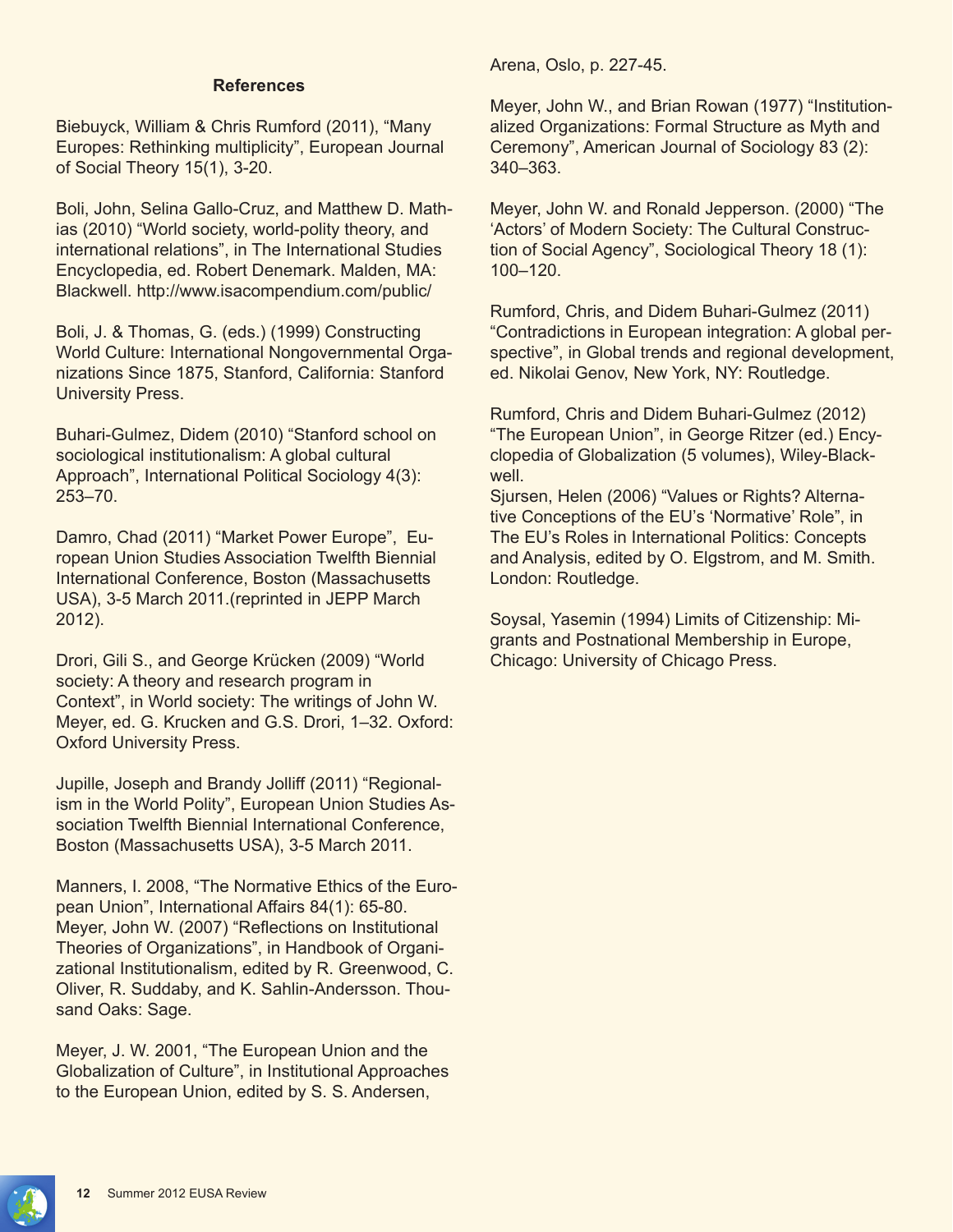#### **References**

Biebuyck, William & Chris Rumford (2011), "Many Europes: Rethinking multiplicity", European Journal of Social Theory 15(1), 3-20.

Boli, John, Selina Gallo-Cruz, and Matthew D. Mathias (2010) "World society, world-polity theory, and international relations", in The International Studies Encyclopedia, ed. Robert Denemark. Malden, MA: Blackwell. http://www.isacompendium.com/public/

Boli, J. & Thomas, G. (eds.) (1999) Constructing World Culture: International Nongovernmental Organizations Since 1875, Stanford, California: Stanford University Press.

Buhari-Gulmez, Didem (2010) "Stanford school on sociological institutionalism: A global cultural Approach", International Political Sociology 4(3): 253–70.

Damro, Chad (2011) "Market Power Europe", European Union Studies Association Twelfth Biennial International Conference, Boston (Massachusetts USA), 3-5 March 2011.(reprinted in JEPP March 2012).

Drori, Gili S., and George Krücken (2009) "World society: A theory and research program in Context", in World society: The writings of John W. Meyer, ed. G. Krucken and G.S. Drori, 1–32. Oxford: Oxford University Press.

Jupille, Joseph and Brandy Jolliff (2011) "Regionalism in the World Polity", European Union Studies Association Twelfth Biennial International Conference, Boston (Massachusetts USA), 3-5 March 2011.

Manners, I. 2008, "The Normative Ethics of the European Union", International Affairs 84(1): 65-80. Meyer, John W. (2007) "Reflections on Institutional Theories of Organizations", in Handbook of Organizational Institutionalism, edited by R. Greenwood, C. Oliver, R. Suddaby, and K. Sahlin-Andersson. Thousand Oaks: Sage.

Meyer, J. W. 2001, "The European Union and the Globalization of Culture", in Institutional Approaches to the European Union, edited by S. S. Andersen,

Arena, Oslo, p. 227-45.

Meyer, John W., and Brian Rowan (1977) "Institutionalized Organizations: Formal Structure as Myth and Ceremony", American Journal of Sociology 83 (2): 340–363.

Meyer, John W. and Ronald Jepperson. (2000) "The 'Actors' of Modern Society: The Cultural Construction of Social Agency", Sociological Theory 18 (1): 100–120.

Rumford, Chris, and Didem Buhari-Gulmez (2011) "Contradictions in European integration: A global perspective", in Global trends and regional development, ed. Nikolai Genov, New York, NY: Routledge.

Rumford, Chris and Didem Buhari-Gulmez (2012) "The European Union", in George Ritzer (ed.) Encyclopedia of Globalization (5 volumes), Wiley-Blackwell.

Sjursen, Helen (2006) "Values or Rights? Alternative Conceptions of the EU's 'Normative' Role", in The EU's Roles in International Politics: Concepts and Analysis, edited by O. Elgstrom, and M. Smith. London: Routledge.

Soysal, Yasemin (1994) Limits of Citizenship: Migrants and Postnational Membership in Europe, Chicago: University of Chicago Press.

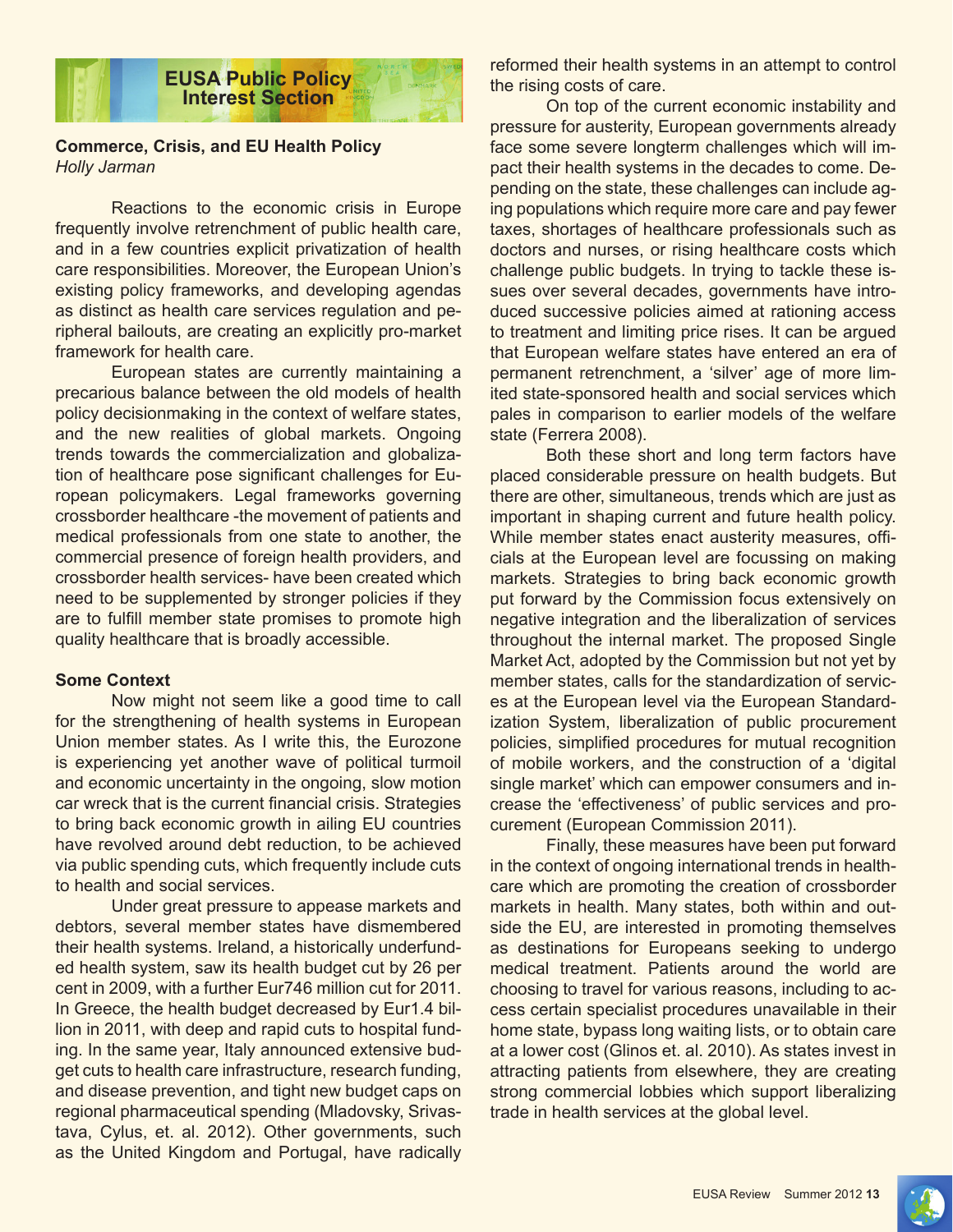

## **Commerce, Crisis, and EU Health Policy** *Holly Jarman*

Reactions to the economic crisis in Europe frequently involve retrenchment of public health care, and in a few countries explicit privatization of health care responsibilities. Moreover, the European Union's existing policy frameworks, and developing agendas as distinct as health care services regulation and peripheral bailouts, are creating an explicitly pro-market framework for health care.

European states are currently maintaining a precarious balance between the old models of health policy decisionmaking in the context of welfare states, and the new realities of global markets. Ongoing trends towards the commercialization and globalization of healthcare pose significant challenges for European policymakers. Legal frameworks governing crossborder healthcare -the movement of patients and medical professionals from one state to another, the commercial presence of foreign health providers, and crossborder health services- have been created which need to be supplemented by stronger policies if they are to fulfill member state promises to promote high quality healthcare that is broadly accessible.

#### **Some Context**

Now might not seem like a good time to call for the strengthening of health systems in European Union member states. As I write this, the Eurozone is experiencing yet another wave of political turmoil and economic uncertainty in the ongoing, slow motion car wreck that is the current financial crisis. Strategies to bring back economic growth in ailing EU countries have revolved around debt reduction, to be achieved via public spending cuts, which frequently include cuts to health and social services.

Under great pressure to appease markets and debtors, several member states have dismembered their health systems. Ireland, a historically underfunded health system, saw its health budget cut by 26 per cent in 2009, with a further Eur746 million cut for 2011. In Greece, the health budget decreased by Eur1.4 billion in 2011, with deep and rapid cuts to hospital funding. In the same year, Italy announced extensive budget cuts to health care infrastructure, research funding, and disease prevention, and tight new budget caps on regional pharmaceutical spending (Mladovsky, Srivastava, Cylus, et. al. 2012). Other governments, such as the United Kingdom and Portugal, have radically

reformed their health systems in an attempt to control the rising costs of care.

On top of the current economic instability and pressure for austerity, European governments already face some severe longterm challenges which will impact their health systems in the decades to come. Depending on the state, these challenges can include aging populations which require more care and pay fewer taxes, shortages of healthcare professionals such as doctors and nurses, or rising healthcare costs which challenge public budgets. In trying to tackle these issues over several decades, governments have introduced successive policies aimed at rationing access to treatment and limiting price rises. It can be argued that European welfare states have entered an era of permanent retrenchment, a 'silver' age of more limited state-sponsored health and social services which pales in comparison to earlier models of the welfare state (Ferrera 2008).

Both these short and long term factors have placed considerable pressure on health budgets. But there are other, simultaneous, trends which are just as important in shaping current and future health policy. While member states enact austerity measures, officials at the European level are focussing on making markets. Strategies to bring back economic growth put forward by the Commission focus extensively on negative integration and the liberalization of services throughout the internal market. The proposed Single Market Act, adopted by the Commission but not yet by member states, calls for the standardization of services at the European level via the European Standardization System, liberalization of public procurement policies, simplified procedures for mutual recognition of mobile workers, and the construction of a 'digital single market' which can empower consumers and increase the 'effectiveness' of public services and procurement (European Commission 2011).

Finally, these measures have been put forward in the context of ongoing international trends in healthcare which are promoting the creation of crossborder markets in health. Many states, both within and outside the EU, are interested in promoting themselves as destinations for Europeans seeking to undergo medical treatment. Patients around the world are choosing to travel for various reasons, including to access certain specialist procedures unavailable in their home state, bypass long waiting lists, or to obtain care at a lower cost (Glinos et. al. 2010). As states invest in attracting patients from elsewhere, they are creating strong commercial lobbies which support liberalizing trade in health services at the global level.

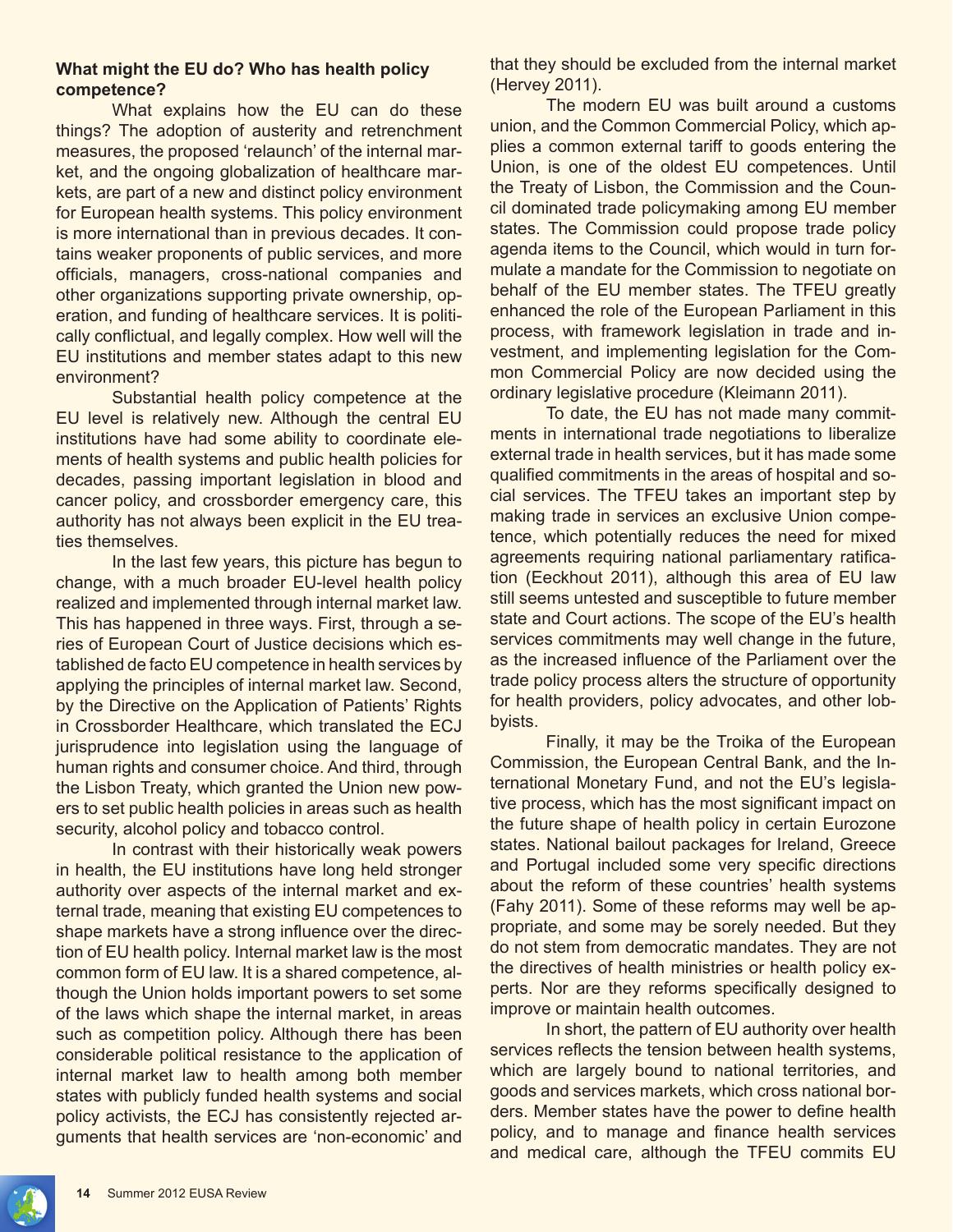# **What might the EU do? Who has health policy competence?**

What explains how the EU can do these things? The adoption of austerity and retrenchment measures, the proposed 'relaunch' of the internal market, and the ongoing globalization of healthcare markets, are part of a new and distinct policy environment for European health systems. This policy environment is more international than in previous decades. It contains weaker proponents of public services, and more officials, managers, cross-national companies and other organizations supporting private ownership, operation, and funding of healthcare services. It is politically conflictual, and legally complex. How well will the EU institutions and member states adapt to this new environment?

Substantial health policy competence at the EU level is relatively new. Although the central EU institutions have had some ability to coordinate elements of health systems and public health policies for decades, passing important legislation in blood and cancer policy, and crossborder emergency care, this authority has not always been explicit in the EU treaties themselves.

In the last few years, this picture has begun to change, with a much broader EU-level health policy realized and implemented through internal market law. This has happened in three ways. First, through a series of European Court of Justice decisions which established de facto EU competence in health services by applying the principles of internal market law. Second, by the Directive on the Application of Patients' Rights in Crossborder Healthcare, which translated the ECJ jurisprudence into legislation using the language of human rights and consumer choice. And third, through the Lisbon Treaty, which granted the Union new powers to set public health policies in areas such as health security, alcohol policy and tobacco control.

In contrast with their historically weak powers in health, the EU institutions have long held stronger authority over aspects of the internal market and external trade, meaning that existing EU competences to shape markets have a strong influence over the direction of EU health policy. Internal market law is the most common form of EU law. It is a shared competence, although the Union holds important powers to set some of the laws which shape the internal market, in areas such as competition policy. Although there has been considerable political resistance to the application of internal market law to health among both member states with publicly funded health systems and social policy activists, the ECJ has consistently rejected arguments that health services are 'non-economic' and

that they should be excluded from the internal market (Hervey 2011).

The modern EU was built around a customs union, and the Common Commercial Policy, which applies a common external tariff to goods entering the Union, is one of the oldest EU competences. Until the Treaty of Lisbon, the Commission and the Council dominated trade policymaking among EU member states. The Commission could propose trade policy agenda items to the Council, which would in turn formulate a mandate for the Commission to negotiate on behalf of the EU member states. The TFEU greatly enhanced the role of the European Parliament in this process, with framework legislation in trade and investment, and implementing legislation for the Common Commercial Policy are now decided using the ordinary legislative procedure (Kleimann 2011).

To date, the EU has not made many commitments in international trade negotiations to liberalize external trade in health services, but it has made some qualified commitments in the areas of hospital and social services. The TFEU takes an important step by making trade in services an exclusive Union competence, which potentially reduces the need for mixed agreements requiring national parliamentary ratification (Eeckhout 2011), although this area of EU law still seems untested and susceptible to future member state and Court actions. The scope of the EU's health services commitments may well change in the future, as the increased influence of the Parliament over the trade policy process alters the structure of opportunity for health providers, policy advocates, and other lobbyists.

Finally, it may be the Troika of the European Commission, the European Central Bank, and the International Monetary Fund, and not the EU's legislative process, which has the most significant impact on the future shape of health policy in certain Eurozone states. National bailout packages for Ireland, Greece and Portugal included some very specific directions about the reform of these countries' health systems (Fahy 2011). Some of these reforms may well be appropriate, and some may be sorely needed. But they do not stem from democratic mandates. They are not the directives of health ministries or health policy experts. Nor are they reforms specifically designed to improve or maintain health outcomes.

In short, the pattern of EU authority over health services reflects the tension between health systems, which are largely bound to national territories, and goods and services markets, which cross national borders. Member states have the power to define health policy, and to manage and finance health services and medical care, although the TFEU commits EU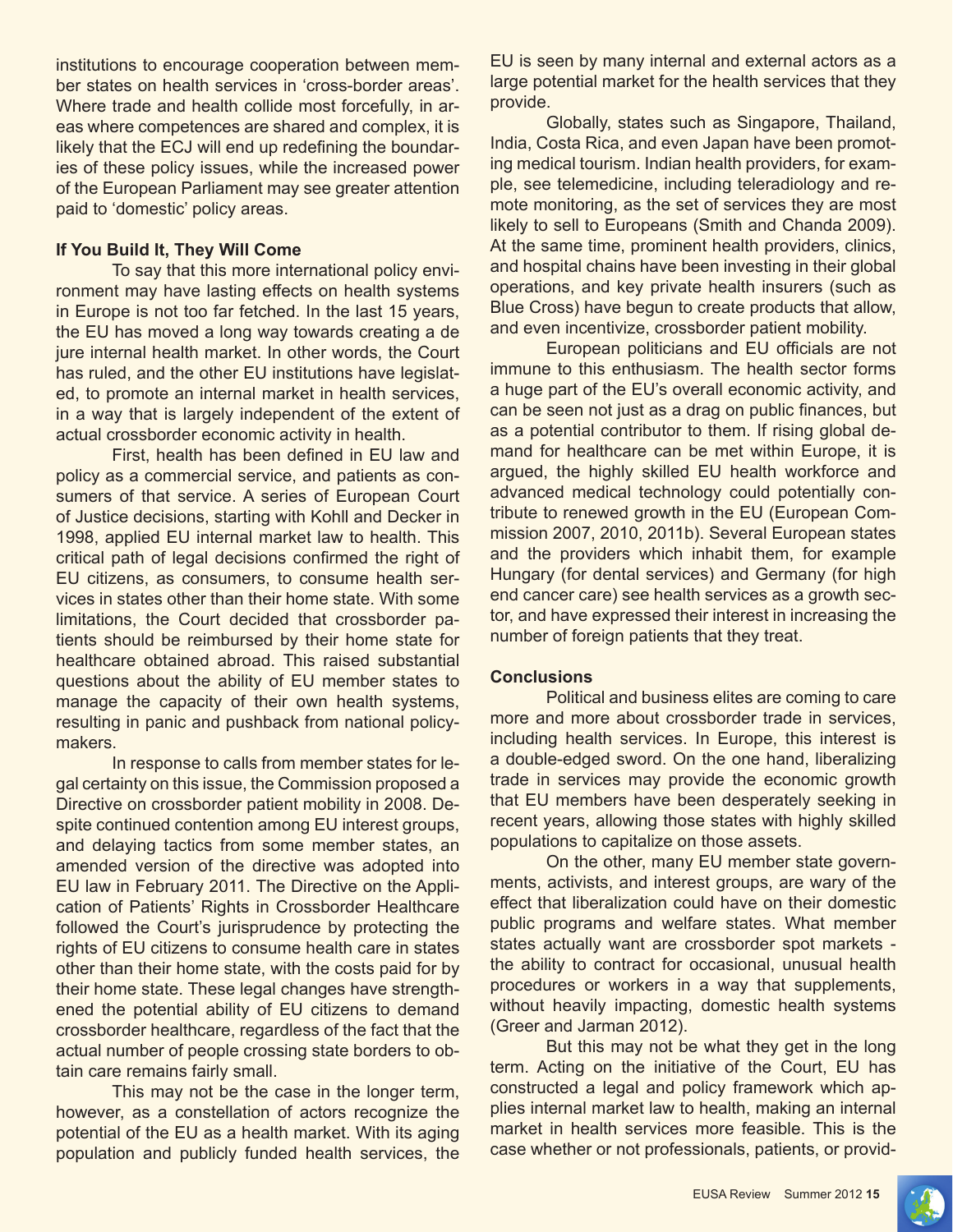institutions to encourage cooperation between member states on health services in 'cross-border areas'. Where trade and health collide most forcefully, in areas where competences are shared and complex, it is likely that the ECJ will end up redefining the boundaries of these policy issues, while the increased power of the European Parliament may see greater attention paid to 'domestic' policy areas.

## **If You Build It, They Will Come**

To say that this more international policy environment may have lasting effects on health systems in Europe is not too far fetched. In the last 15 years, the EU has moved a long way towards creating a de jure internal health market. In other words, the Court has ruled, and the other EU institutions have legislated, to promote an internal market in health services, in a way that is largely independent of the extent of actual crossborder economic activity in health.

 First, health has been defined in EU law and policy as a commercial service, and patients as consumers of that service. A series of European Court of Justice decisions, starting with Kohll and Decker in 1998, applied EU internal market law to health. This critical path of legal decisions confirmed the right of EU citizens, as consumers, to consume health services in states other than their home state. With some limitations, the Court decided that crossborder patients should be reimbursed by their home state for healthcare obtained abroad. This raised substantial questions about the ability of EU member states to manage the capacity of their own health systems, resulting in panic and pushback from national policymakers.

In response to calls from member states for legal certainty on this issue, the Commission proposed a Directive on crossborder patient mobility in 2008. Despite continued contention among EU interest groups, and delaying tactics from some member states, an amended version of the directive was adopted into EU law in February 2011. The Directive on the Application of Patients' Rights in Crossborder Healthcare followed the Court's jurisprudence by protecting the rights of EU citizens to consume health care in states other than their home state, with the costs paid for by their home state. These legal changes have strengthened the potential ability of EU citizens to demand crossborder healthcare, regardless of the fact that the actual number of people crossing state borders to obtain care remains fairly small.

This may not be the case in the longer term, however, as a constellation of actors recognize the potential of the EU as a health market. With its aging population and publicly funded health services, the

EU is seen by many internal and external actors as a large potential market for the health services that they provide.

Globally, states such as Singapore, Thailand, India, Costa Rica, and even Japan have been promoting medical tourism. Indian health providers, for example, see telemedicine, including teleradiology and remote monitoring, as the set of services they are most likely to sell to Europeans (Smith and Chanda 2009). At the same time, prominent health providers, clinics, and hospital chains have been investing in their global operations, and key private health insurers (such as Blue Cross) have begun to create products that allow, and even incentivize, crossborder patient mobility.

 European politicians and EU officials are not immune to this enthusiasm. The health sector forms a huge part of the EU's overall economic activity, and can be seen not just as a drag on public finances, but as a potential contributor to them. If rising global demand for healthcare can be met within Europe, it is argued, the highly skilled EU health workforce and advanced medical technology could potentially contribute to renewed growth in the EU (European Commission 2007, 2010, 2011b). Several European states and the providers which inhabit them, for example Hungary (for dental services) and Germany (for high end cancer care) see health services as a growth sector, and have expressed their interest in increasing the number of foreign patients that they treat.

# **Conclusions**

Political and business elites are coming to care more and more about crossborder trade in services, including health services. In Europe, this interest is a double-edged sword. On the one hand, liberalizing trade in services may provide the economic growth that EU members have been desperately seeking in recent years, allowing those states with highly skilled populations to capitalize on those assets.

On the other, many EU member state governments, activists, and interest groups, are wary of the effect that liberalization could have on their domestic public programs and welfare states. What member states actually want are crossborder spot markets the ability to contract for occasional, unusual health procedures or workers in a way that supplements, without heavily impacting, domestic health systems (Greer and Jarman 2012).

But this may not be what they get in the long term. Acting on the initiative of the Court, EU has constructed a legal and policy framework which applies internal market law to health, making an internal market in health services more feasible. This is the case whether or not professionals, patients, or provid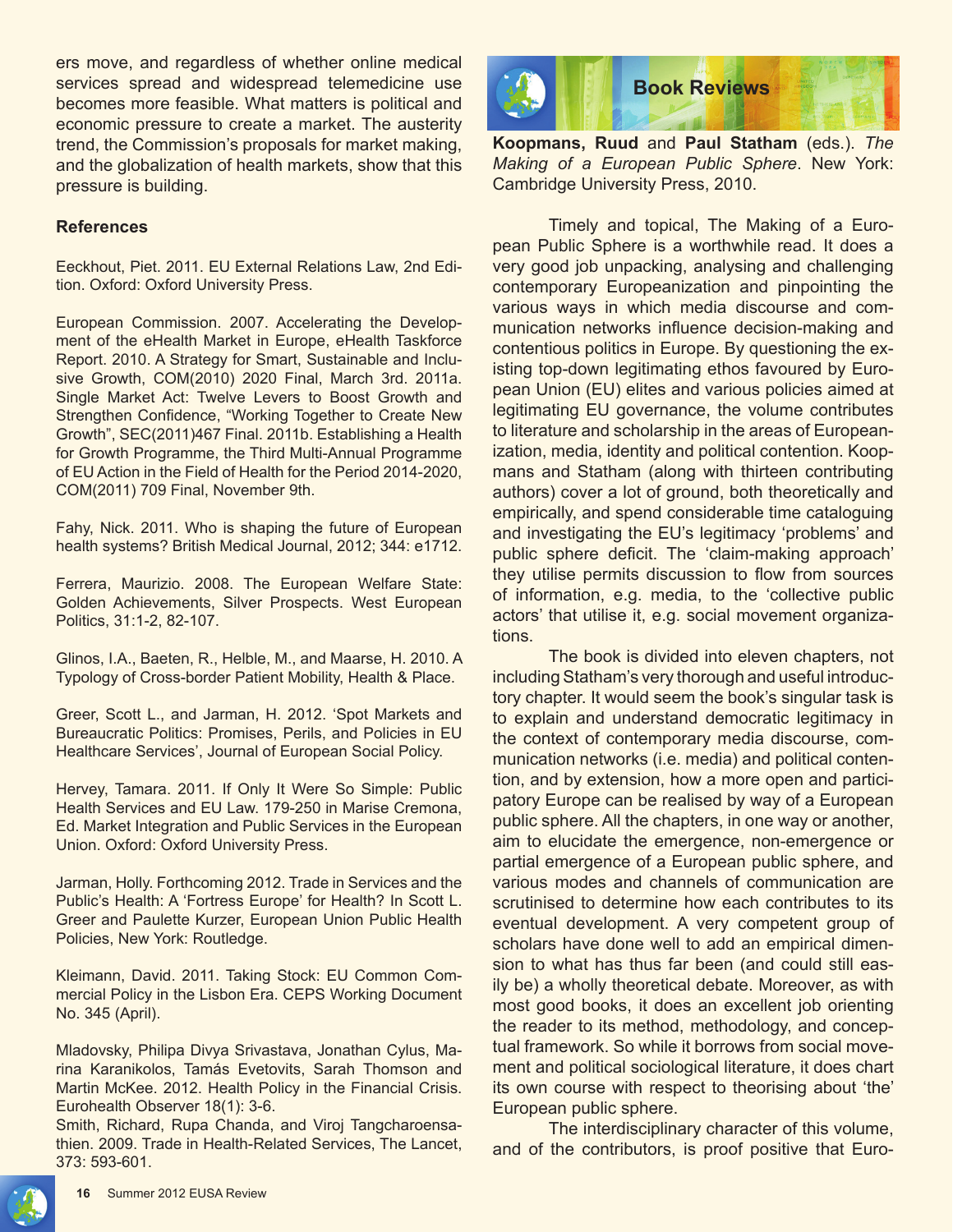ers move, and regardless of whether online medical services spread and widespread telemedicine use becomes more feasible. What matters is political and economic pressure to create a market. The austerity trend, the Commission's proposals for market making, and the globalization of health markets, show that this pressure is building.

## **References**

Eeckhout, Piet. 2011. EU External Relations Law, 2nd Edition. Oxford: Oxford University Press.

European Commission. 2007. Accelerating the Development of the eHealth Market in Europe, eHealth Taskforce Report. 2010. A Strategy for Smart, Sustainable and Inclusive Growth, COM(2010) 2020 Final, March 3rd. 2011a. Single Market Act: Twelve Levers to Boost Growth and Strengthen Confidence, "Working Together to Create New Growth", SEC(2011)467 Final. 2011b. Establishing a Health for Growth Programme, the Third Multi-Annual Programme of EU Action in the Field of Health for the Period 2014-2020, COM(2011) 709 Final, November 9th.

Fahy, Nick. 2011. Who is shaping the future of European health systems? British Medical Journal, 2012; 344: e1712.

Ferrera, Maurizio. 2008. The European Welfare State: Golden Achievements, Silver Prospects. West European Politics, 31:1-2, 82-107.

Glinos, I.A., Baeten, R., Helble, M., and Maarse, H. 2010. A Typology of Cross-border Patient Mobility, Health & Place.

Greer, Scott L., and Jarman, H. 2012. 'Spot Markets and Bureaucratic Politics: Promises, Perils, and Policies in EU Healthcare Services', Journal of European Social Policy.

Hervey, Tamara. 2011. If Only It Were So Simple: Public Health Services and EU Law. 179-250 in Marise Cremona, Ed. Market Integration and Public Services in the European Union. Oxford: Oxford University Press.

Jarman, Holly. Forthcoming 2012. Trade in Services and the Public's Health: A 'Fortress Europe' for Health? In Scott L. Greer and Paulette Kurzer, European Union Public Health Policies, New York: Routledge.

Kleimann, David. 2011. Taking Stock: EU Common Commercial Policy in the Lisbon Era. CEPS Working Document No. 345 (April).

Mladovsky, Philipa Divya Srivastava, Jonathan Cylus, Marina Karanikolos, Tamás Evetovits, Sarah Thomson and Martin McKee. 2012. Health Policy in the Financial Crisis. Eurohealth Observer 18(1): 3-6.

Smith, Richard, Rupa Chanda, and Viroj Tangcharoensathien. 2009. Trade in Health-Related Services, The Lancet, 373: 593-601.



**Koopmans, Ruud** and **Paul Statham** (eds.). *The Making of a European Public Sphere*. New York: Cambridge University Press, 2010.

Timely and topical, The Making of a European Public Sphere is a worthwhile read. It does a very good job unpacking, analysing and challenging contemporary Europeanization and pinpointing the various ways in which media discourse and communication networks influence decision-making and contentious politics in Europe. By questioning the existing top-down legitimating ethos favoured by European Union (EU) elites and various policies aimed at legitimating EU governance, the volume contributes to literature and scholarship in the areas of Europeanization, media, identity and political contention. Koopmans and Statham (along with thirteen contributing authors) cover a lot of ground, both theoretically and empirically, and spend considerable time cataloguing and investigating the EU's legitimacy 'problems' and public sphere deficit. The 'claim-making approach' they utilise permits discussion to flow from sources of information, e.g. media, to the 'collective public actors' that utilise it, e.g. social movement organizations.

The book is divided into eleven chapters, not including Statham's very thorough and useful introductory chapter. It would seem the book's singular task is to explain and understand democratic legitimacy in the context of contemporary media discourse, communication networks (i.e. media) and political contention, and by extension, how a more open and participatory Europe can be realised by way of a European public sphere. All the chapters, in one way or another, aim to elucidate the emergence, non-emergence or partial emergence of a European public sphere, and various modes and channels of communication are scrutinised to determine how each contributes to its eventual development. A very competent group of scholars have done well to add an empirical dimension to what has thus far been (and could still easily be) a wholly theoretical debate. Moreover, as with most good books, it does an excellent job orienting the reader to its method, methodology, and conceptual framework. So while it borrows from social movement and political sociological literature, it does chart its own course with respect to theorising about 'the' European public sphere.

The interdisciplinary character of this volume, and of the contributors, is proof positive that Euro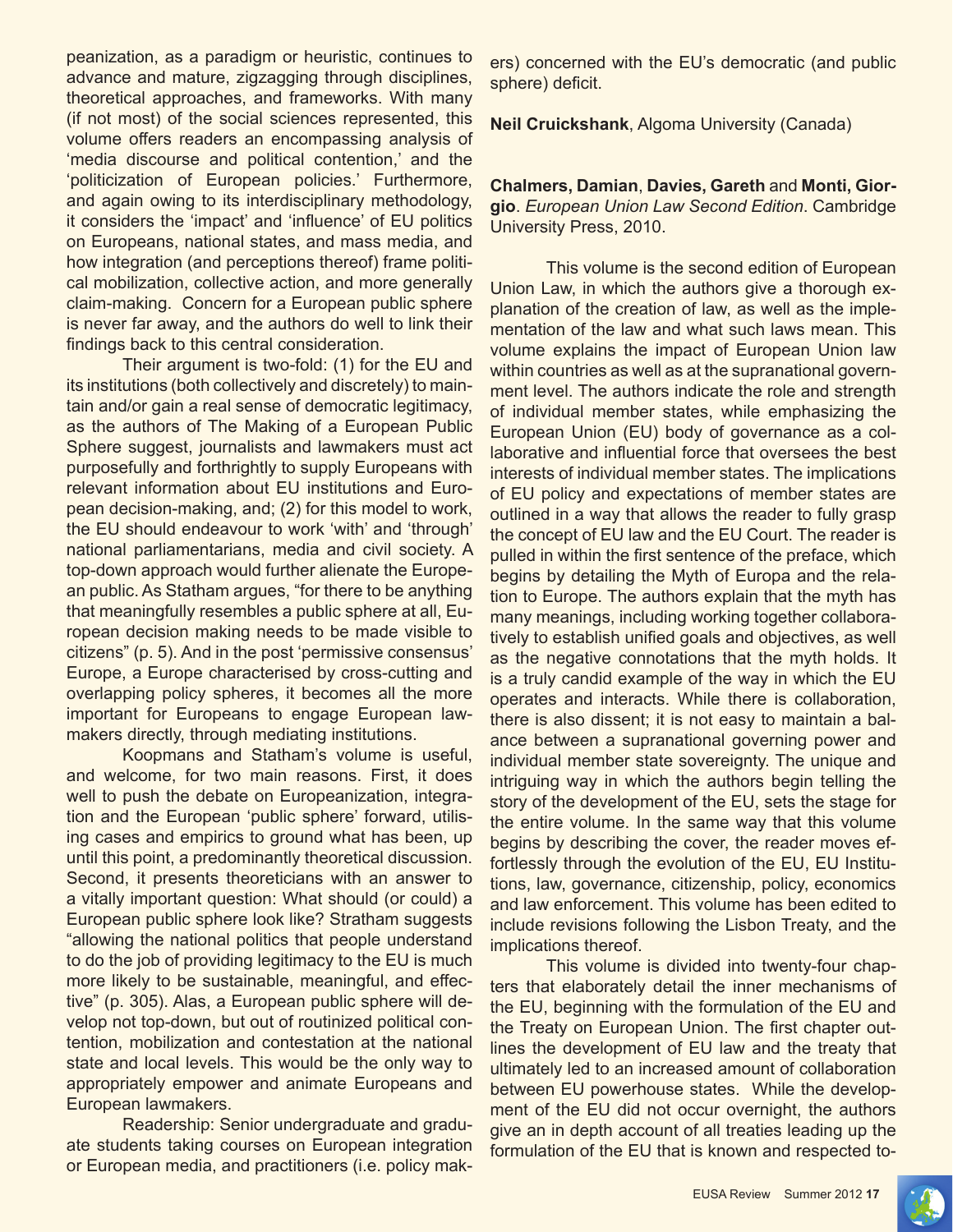peanization, as a paradigm or heuristic, continues to advance and mature, zigzagging through disciplines, theoretical approaches, and frameworks. With many (if not most) of the social sciences represented, this volume offers readers an encompassing analysis of 'media discourse and political contention,' and the 'politicization of European policies.' Furthermore, and again owing to its interdisciplinary methodology, it considers the 'impact' and 'influence' of EU politics on Europeans, national states, and mass media, and how integration (and perceptions thereof) frame political mobilization, collective action, and more generally claim-making. Concern for a European public sphere is never far away, and the authors do well to link their findings back to this central consideration.

Their argument is two-fold: (1) for the EU and its institutions (both collectively and discretely) to maintain and/or gain a real sense of democratic legitimacy, as the authors of The Making of a European Public Sphere suggest, journalists and lawmakers must act purposefully and forthrightly to supply Europeans with relevant information about EU institutions and European decision-making, and; (2) for this model to work, the EU should endeavour to work 'with' and 'through' national parliamentarians, media and civil society. A top-down approach would further alienate the European public. As Statham argues, "for there to be anything that meaningfully resembles a public sphere at all, European decision making needs to be made visible to citizens" (p. 5). And in the post 'permissive consensus' Europe, a Europe characterised by cross-cutting and overlapping policy spheres, it becomes all the more important for Europeans to engage European lawmakers directly, through mediating institutions.

Koopmans and Statham's volume is useful, and welcome, for two main reasons. First, it does well to push the debate on Europeanization, integration and the European 'public sphere' forward, utilising cases and empirics to ground what has been, up until this point, a predominantly theoretical discussion. Second, it presents theoreticians with an answer to a vitally important question: What should (or could) a European public sphere look like? Stratham suggests "allowing the national politics that people understand to do the job of providing legitimacy to the EU is much more likely to be sustainable, meaningful, and effective" (p. 305). Alas, a European public sphere will develop not top-down, but out of routinized political contention, mobilization and contestation at the national state and local levels. This would be the only way to appropriately empower and animate Europeans and European lawmakers.

Readership: Senior undergraduate and graduate students taking courses on European integration or European media, and practitioners (i.e. policy makers) concerned with the EU's democratic (and public sphere) deficit.

**Neil Cruickshank**, Algoma University (Canada)

**Chalmers, Damian**, **Davies, Gareth** and **Monti, Giorgio**. *European Union Law Second Edition*. Cambridge University Press, 2010.

This volume is the second edition of European Union Law, in which the authors give a thorough explanation of the creation of law, as well as the implementation of the law and what such laws mean. This volume explains the impact of European Union law within countries as well as at the supranational government level. The authors indicate the role and strength of individual member states, while emphasizing the European Union (EU) body of governance as a collaborative and influential force that oversees the best interests of individual member states. The implications of EU policy and expectations of member states are outlined in a way that allows the reader to fully grasp the concept of EU law and the EU Court. The reader is pulled in within the first sentence of the preface, which begins by detailing the Myth of Europa and the relation to Europe. The authors explain that the myth has many meanings, including working together collaboratively to establish unified goals and objectives, as well as the negative connotations that the myth holds. It is a truly candid example of the way in which the EU operates and interacts. While there is collaboration, there is also dissent; it is not easy to maintain a balance between a supranational governing power and individual member state sovereignty. The unique and intriguing way in which the authors begin telling the story of the development of the EU, sets the stage for the entire volume. In the same way that this volume begins by describing the cover, the reader moves effortlessly through the evolution of the EU, EU Institutions, law, governance, citizenship, policy, economics and law enforcement. This volume has been edited to include revisions following the Lisbon Treaty, and the implications thereof.

This volume is divided into twenty-four chapters that elaborately detail the inner mechanisms of the EU, beginning with the formulation of the EU and the Treaty on European Union. The first chapter outlines the development of EU law and the treaty that ultimately led to an increased amount of collaboration between EU powerhouse states. While the development of the EU did not occur overnight, the authors give an in depth account of all treaties leading up the formulation of the EU that is known and respected to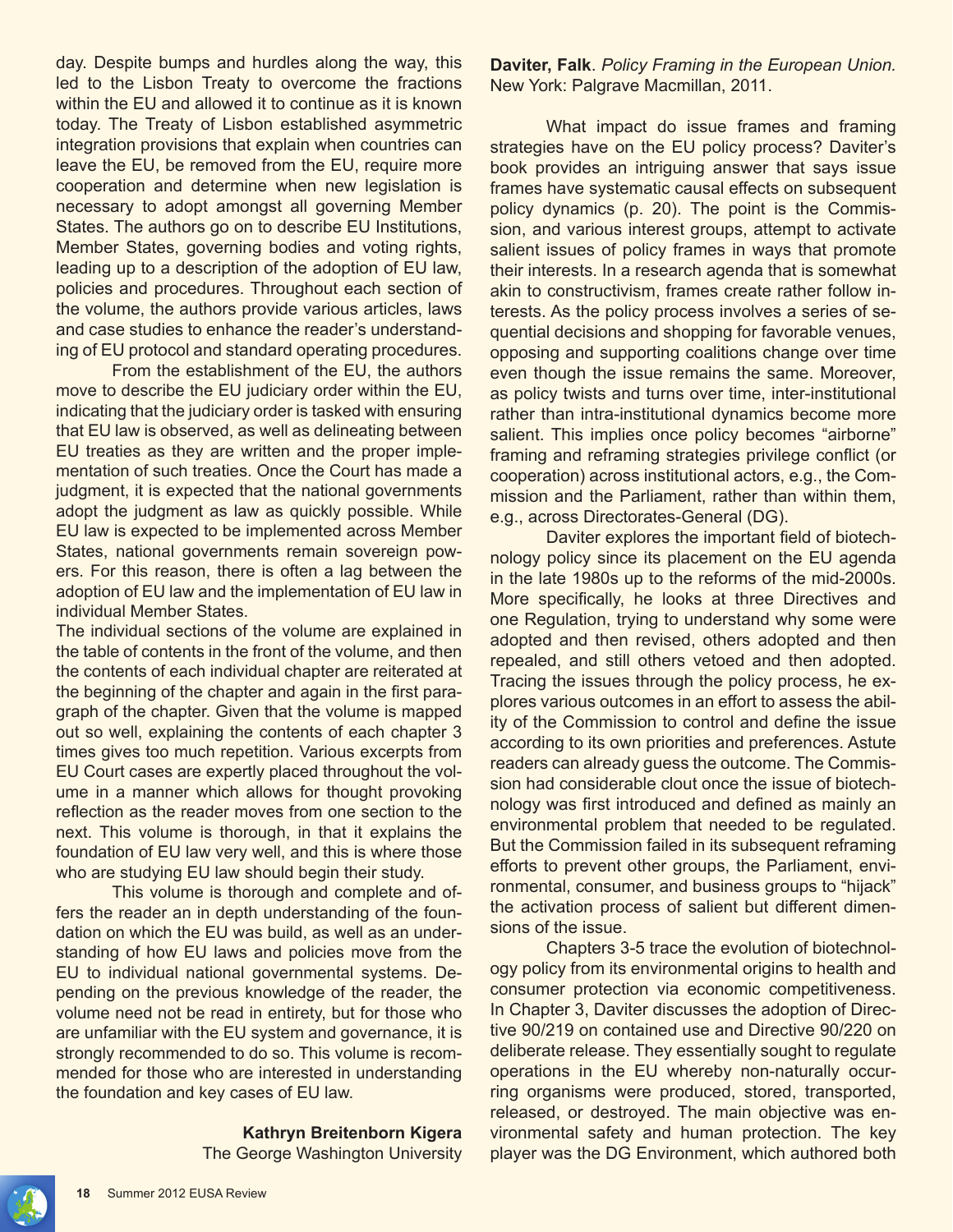day. Despite bumps and hurdles along the way, this led to the Lisbon Treaty to overcome the fractions within the EU and allowed it to continue as it is known today. The Treaty of Lisbon established asymmetric integration provisions that explain when countries can leave the EU, be removed from the EU, require more cooperation and determine when new legislation is necessary to adopt amongst all governing Member States. The authors go on to describe EU Institutions, Member States, governing bodies and voting rights, leading up to a description of the adoption of EU law, policies and procedures. Throughout each section of the volume, the authors provide various articles, laws and case studies to enhance the reader's understanding of EU protocol and standard operating procedures.

From the establishment of the EU, the authors move to describe the EU judiciary order within the EU, indicating that the judiciary order is tasked with ensuring that EU law is observed, as well as delineating between EU treaties as they are written and the proper implementation of such treaties. Once the Court has made a judgment, it is expected that the national governments adopt the judgment as law as quickly possible. While EU law is expected to be implemented across Member States, national governments remain sovereign powers. For this reason, there is often a lag between the adoption of EU law and the implementation of EU law in individual Member States.

The individual sections of the volume are explained in the table of contents in the front of the volume, and then the contents of each individual chapter are reiterated at the beginning of the chapter and again in the first paragraph of the chapter. Given that the volume is mapped out so well, explaining the contents of each chapter 3 times gives too much repetition. Various excerpts from EU Court cases are expertly placed throughout the volume in a manner which allows for thought provoking reflection as the reader moves from one section to the next. This volume is thorough, in that it explains the foundation of EU law very well, and this is where those who are studying EU law should begin their study.

This volume is thorough and complete and offers the reader an in depth understanding of the foundation on which the EU was build, as well as an understanding of how EU laws and policies move from the EU to individual national governmental systems. Depending on the previous knowledge of the reader, the volume need not be read in entirety, but for those who are unfamiliar with the EU system and governance, it is strongly recommended to do so. This volume is recommended for those who are interested in understanding the foundation and key cases of EU law.

> **Kathryn Breitenborn Kigera** The George Washington University

**Daviter, Falk**. *Policy Framing in the European Union.*  New York: Palgrave Macmillan, 2011.

What impact do issue frames and framing strategies have on the EU policy process? Daviter's book provides an intriguing answer that says issue frames have systematic causal effects on subsequent policy dynamics (p. 20). The point is the Commission, and various interest groups, attempt to activate salient issues of policy frames in ways that promote their interests. In a research agenda that is somewhat akin to constructivism, frames create rather follow interests. As the policy process involves a series of sequential decisions and shopping for favorable venues, opposing and supporting coalitions change over time even though the issue remains the same. Moreover, as policy twists and turns over time, inter-institutional rather than intra-institutional dynamics become more salient. This implies once policy becomes "airborne" framing and reframing strategies privilege conflict (or cooperation) across institutional actors, e.g., the Commission and the Parliament, rather than within them, e.g., across Directorates-General (DG).

 Daviter explores the important field of biotechnology policy since its placement on the EU agenda in the late 1980s up to the reforms of the mid-2000s. More specifically, he looks at three Directives and one Regulation, trying to understand why some were adopted and then revised, others adopted and then repealed, and still others vetoed and then adopted. Tracing the issues through the policy process, he explores various outcomes in an effort to assess the ability of the Commission to control and define the issue according to its own priorities and preferences. Astute readers can already guess the outcome. The Commission had considerable clout once the issue of biotechnology was first introduced and defined as mainly an environmental problem that needed to be regulated. But the Commission failed in its subsequent reframing efforts to prevent other groups, the Parliament, environmental, consumer, and business groups to "hijack" the activation process of salient but different dimensions of the issue.

Chapters 3-5 trace the evolution of biotechnology policy from its environmental origins to health and consumer protection via economic competitiveness. In Chapter 3, Daviter discusses the adoption of Directive 90/219 on contained use and Directive 90/220 on deliberate release. They essentially sought to regulate operations in the EU whereby non-naturally occurring organisms were produced, stored, transported, released, or destroyed. The main objective was environmental safety and human protection. The key player was the DG Environment, which authored both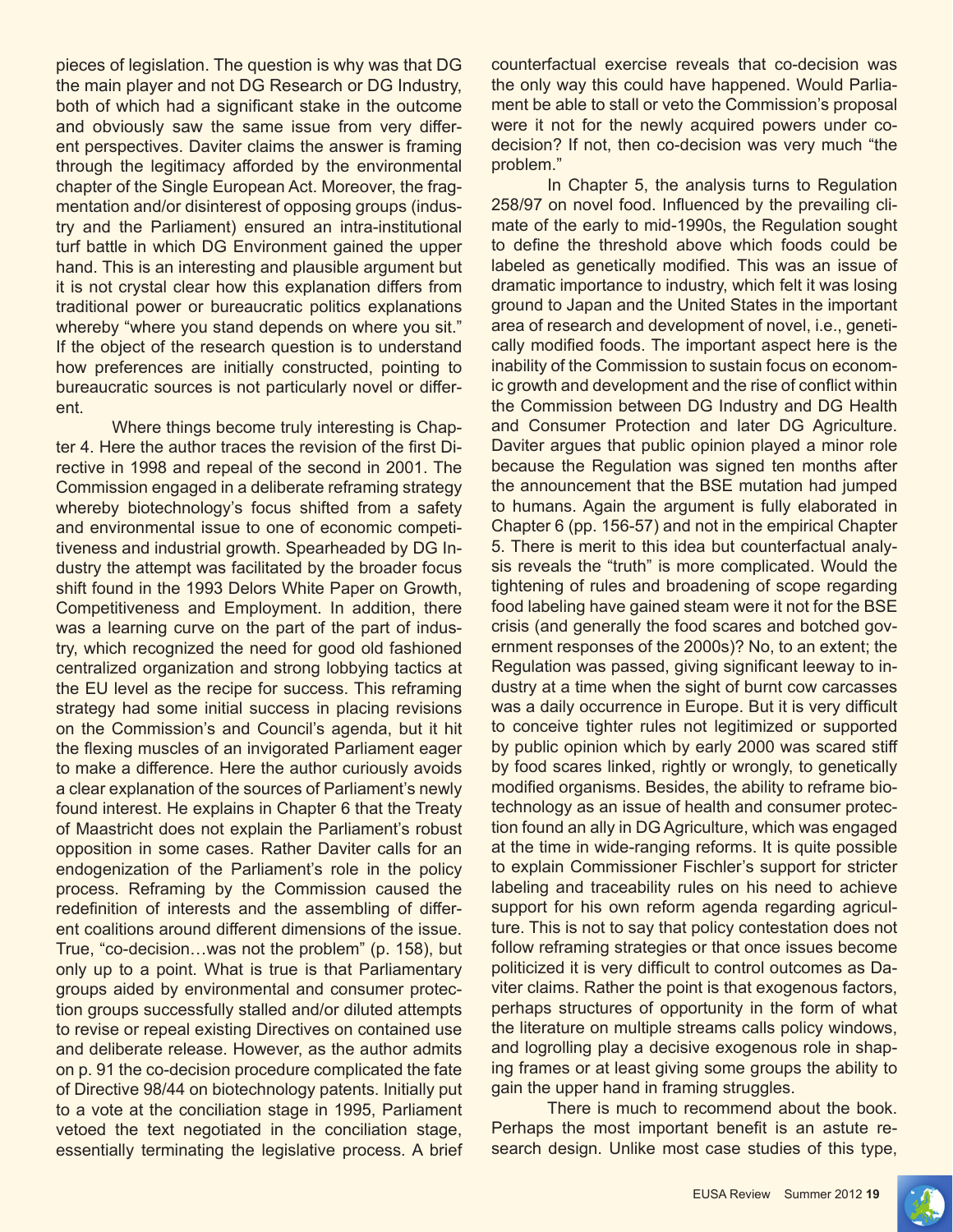pieces of legislation. The question is why was that DG the main player and not DG Research or DG Industry, both of which had a significant stake in the outcome and obviously saw the same issue from very different perspectives. Daviter claims the answer is framing through the legitimacy afforded by the environmental chapter of the Single European Act. Moreover, the fragmentation and/or disinterest of opposing groups (industry and the Parliament) ensured an intra-institutional turf battle in which DG Environment gained the upper hand. This is an interesting and plausible argument but it is not crystal clear how this explanation differs from traditional power or bureaucratic politics explanations whereby "where you stand depends on where you sit." If the object of the research question is to understand how preferences are initially constructed, pointing to bureaucratic sources is not particularly novel or different.

Where things become truly interesting is Chapter 4. Here the author traces the revision of the first Directive in 1998 and repeal of the second in 2001. The Commission engaged in a deliberate reframing strategy whereby biotechnology's focus shifted from a safety and environmental issue to one of economic competitiveness and industrial growth. Spearheaded by DG Industry the attempt was facilitated by the broader focus shift found in the 1993 Delors White Paper on Growth, Competitiveness and Employment. In addition, there was a learning curve on the part of the part of industry, which recognized the need for good old fashioned centralized organization and strong lobbying tactics at the EU level as the recipe for success. This reframing strategy had some initial success in placing revisions on the Commission's and Council's agenda, but it hit the flexing muscles of an invigorated Parliament eager to make a difference. Here the author curiously avoids a clear explanation of the sources of Parliament's newly found interest. He explains in Chapter 6 that the Treaty of Maastricht does not explain the Parliament's robust opposition in some cases. Rather Daviter calls for an endogenization of the Parliament's role in the policy process. Reframing by the Commission caused the redefinition of interests and the assembling of different coalitions around different dimensions of the issue. True, "co-decision…was not the problem" (p. 158), but only up to a point. What is true is that Parliamentary groups aided by environmental and consumer protection groups successfully stalled and/or diluted attempts to revise or repeal existing Directives on contained use and deliberate release. However, as the author admits on p. 91 the co-decision procedure complicated the fate of Directive 98/44 on biotechnology patents. Initially put to a vote at the conciliation stage in 1995, Parliament vetoed the text negotiated in the conciliation stage, essentially terminating the legislative process. A brief counterfactual exercise reveals that co-decision was the only way this could have happened. Would Parliament be able to stall or veto the Commission's proposal were it not for the newly acquired powers under codecision? If not, then co-decision was very much "the problem."

In Chapter 5, the analysis turns to Regulation 258/97 on novel food. Influenced by the prevailing climate of the early to mid-1990s, the Regulation sought to define the threshold above which foods could be labeled as genetically modified. This was an issue of dramatic importance to industry, which felt it was losing ground to Japan and the United States in the important area of research and development of novel, i.e., genetically modified foods. The important aspect here is the inability of the Commission to sustain focus on economic growth and development and the rise of conflict within the Commission between DG Industry and DG Health and Consumer Protection and later DG Agriculture. Daviter argues that public opinion played a minor role because the Regulation was signed ten months after the announcement that the BSE mutation had jumped to humans. Again the argument is fully elaborated in Chapter 6 (pp. 156-57) and not in the empirical Chapter 5. There is merit to this idea but counterfactual analysis reveals the "truth" is more complicated. Would the tightening of rules and broadening of scope regarding food labeling have gained steam were it not for the BSE crisis (and generally the food scares and botched government responses of the 2000s)? No, to an extent; the Regulation was passed, giving significant leeway to industry at a time when the sight of burnt cow carcasses was a daily occurrence in Europe. But it is very difficult to conceive tighter rules not legitimized or supported by public opinion which by early 2000 was scared stiff by food scares linked, rightly or wrongly, to genetically modified organisms. Besides, the ability to reframe biotechnology as an issue of health and consumer protection found an ally in DG Agriculture, which was engaged at the time in wide-ranging reforms. It is quite possible to explain Commissioner Fischler's support for stricter labeling and traceability rules on his need to achieve support for his own reform agenda regarding agriculture. This is not to say that policy contestation does not follow reframing strategies or that once issues become politicized it is very difficult to control outcomes as Daviter claims. Rather the point is that exogenous factors, perhaps structures of opportunity in the form of what the literature on multiple streams calls policy windows, and logrolling play a decisive exogenous role in shaping frames or at least giving some groups the ability to gain the upper hand in framing struggles.

There is much to recommend about the book. Perhaps the most important benefit is an astute research design. Unlike most case studies of this type,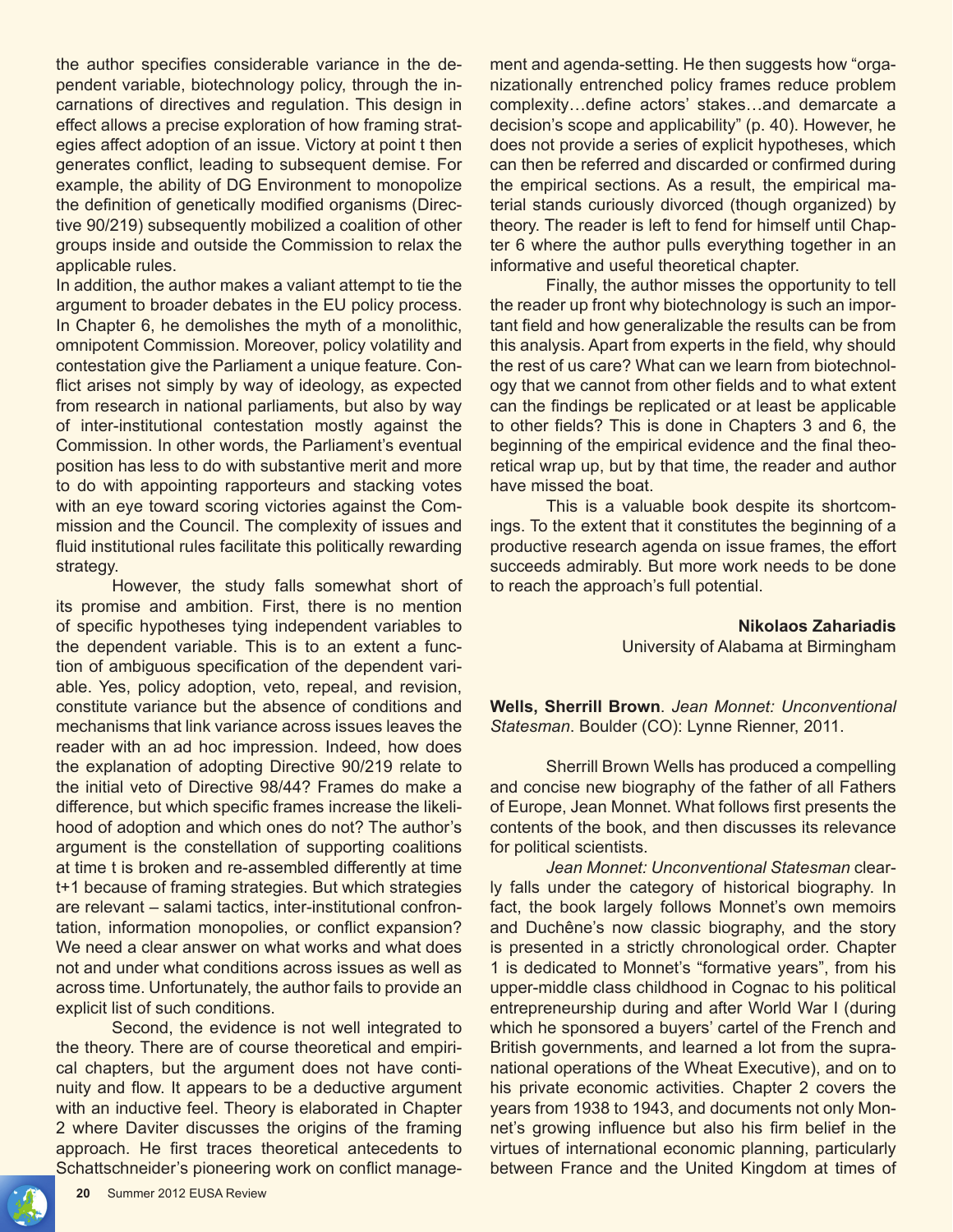the author specifies considerable variance in the dependent variable, biotechnology policy, through the incarnations of directives and regulation. This design in effect allows a precise exploration of how framing strategies affect adoption of an issue. Victory at point t then generates conflict, leading to subsequent demise. For example, the ability of DG Environment to monopolize the definition of genetically modified organisms (Directive 90/219) subsequently mobilized a coalition of other groups inside and outside the Commission to relax the applicable rules.

In addition, the author makes a valiant attempt to tie the argument to broader debates in the EU policy process. In Chapter 6, he demolishes the myth of a monolithic, omnipotent Commission. Moreover, policy volatility and contestation give the Parliament a unique feature. Conflict arises not simply by way of ideology, as expected from research in national parliaments, but also by way of inter-institutional contestation mostly against the Commission. In other words, the Parliament's eventual position has less to do with substantive merit and more to do with appointing rapporteurs and stacking votes with an eye toward scoring victories against the Commission and the Council. The complexity of issues and fluid institutional rules facilitate this politically rewarding strategy.

However, the study falls somewhat short of its promise and ambition. First, there is no mention of specific hypotheses tying independent variables to the dependent variable. This is to an extent a function of ambiguous specification of the dependent variable. Yes, policy adoption, veto, repeal, and revision, constitute variance but the absence of conditions and mechanisms that link variance across issues leaves the reader with an ad hoc impression. Indeed, how does the explanation of adopting Directive 90/219 relate to the initial veto of Directive 98/44? Frames do make a difference, but which specific frames increase the likelihood of adoption and which ones do not? The author's argument is the constellation of supporting coalitions at time t is broken and re-assembled differently at time t+1 because of framing strategies. But which strategies are relevant – salami tactics, inter-institutional confrontation, information monopolies, or conflict expansion? We need a clear answer on what works and what does not and under what conditions across issues as well as across time. Unfortunately, the author fails to provide an explicit list of such conditions.

Second, the evidence is not well integrated to the theory. There are of course theoretical and empirical chapters, but the argument does not have continuity and flow. It appears to be a deductive argument with an inductive feel. Theory is elaborated in Chapter 2 where Daviter discusses the origins of the framing approach. He first traces theoretical antecedents to Schattschneider's pioneering work on conflict management and agenda-setting. He then suggests how "organizationally entrenched policy frames reduce problem complexity…define actors' stakes…and demarcate a decision's scope and applicability" (p. 40). However, he does not provide a series of explicit hypotheses, which can then be referred and discarded or confirmed during the empirical sections. As a result, the empirical material stands curiously divorced (though organized) by theory. The reader is left to fend for himself until Chapter 6 where the author pulls everything together in an informative and useful theoretical chapter.

Finally, the author misses the opportunity to tell the reader up front why biotechnology is such an important field and how generalizable the results can be from this analysis. Apart from experts in the field, why should the rest of us care? What can we learn from biotechnology that we cannot from other fields and to what extent can the findings be replicated or at least be applicable to other fields? This is done in Chapters 3 and 6, the beginning of the empirical evidence and the final theoretical wrap up, but by that time, the reader and author have missed the boat.

This is a valuable book despite its shortcomings. To the extent that it constitutes the beginning of a productive research agenda on issue frames, the effort succeeds admirably. But more work needs to be done to reach the approach's full potential.

> **Nikolaos Zahariadis** University of Alabama at Birmingham

**Wells, Sherrill Brown**. *Jean Monnet: Unconventional Statesman*. Boulder (CO): Lynne Rienner, 2011.

Sherrill Brown Wells has produced a compelling and concise new biography of the father of all Fathers of Europe, Jean Monnet. What follows first presents the contents of the book, and then discusses its relevance for political scientists.

*Jean Monnet: Unconventional Statesman* clearly falls under the category of historical biography. In fact, the book largely follows Monnet's own memoirs and Duchêne's now classic biography, and the story is presented in a strictly chronological order. Chapter 1 is dedicated to Monnet's "formative years", from his upper-middle class childhood in Cognac to his political entrepreneurship during and after World War I (during which he sponsored a buyers' cartel of the French and British governments, and learned a lot from the supranational operations of the Wheat Executive), and on to his private economic activities. Chapter 2 covers the years from 1938 to 1943, and documents not only Monnet's growing influence but also his firm belief in the virtues of international economic planning, particularly between France and the United Kingdom at times of

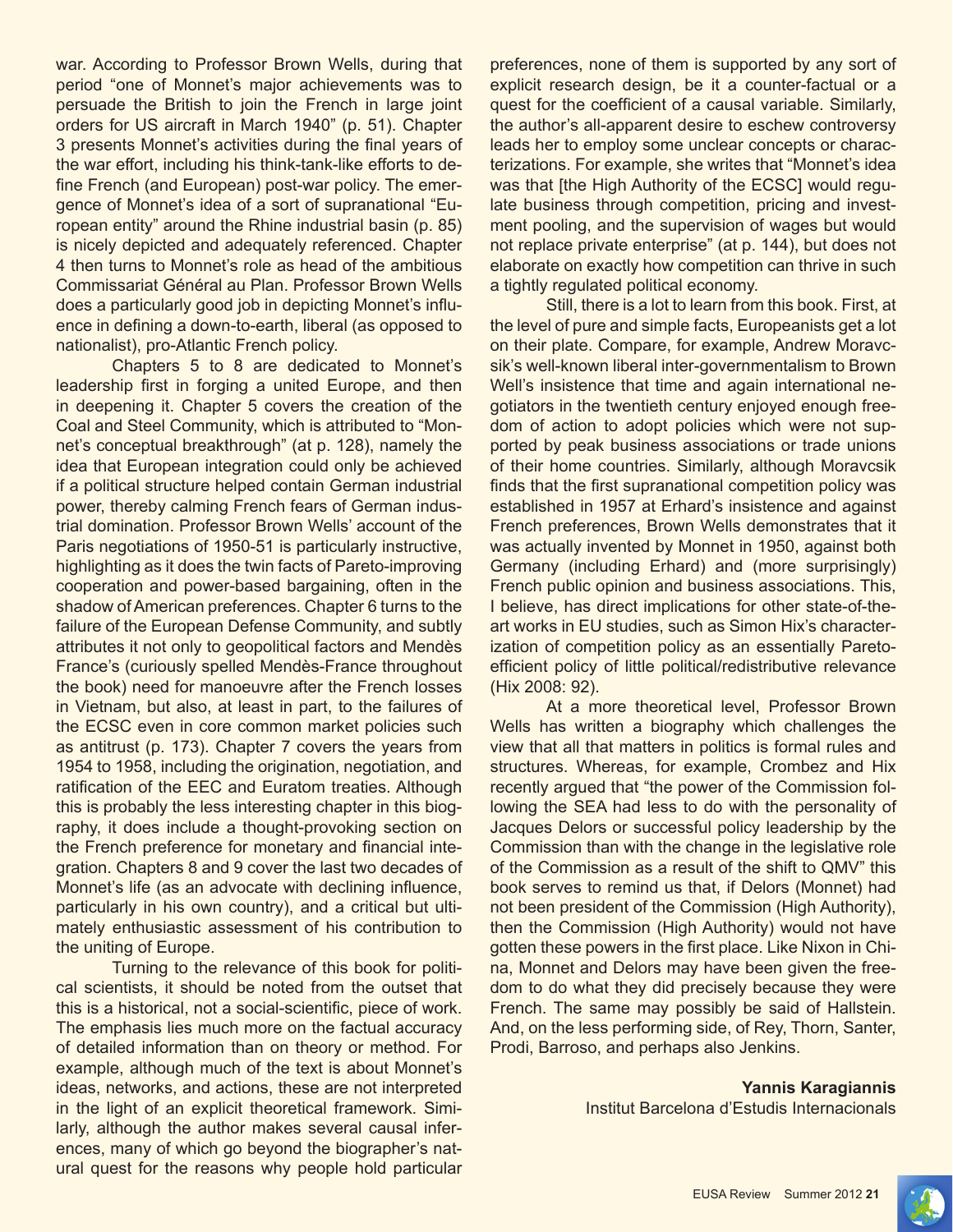war. According to Professor Brown Wells, during that period "one of Monnet's major achievements was to persuade the British to join the French in large joint orders for US aircraft in March 1940" (p. 51). Chapter 3 presents Monnet's activities during the final years of the war effort, including his think-tank-like efforts to define French (and European) post-war policy. The emergence of Monnet's idea of a sort of supranational "European entity" around the Rhine industrial basin (p. 85) is nicely depicted and adequately referenced. Chapter 4 then turns to Monnet's role as head of the ambitious Commissariat Général au Plan. Professor Brown Wells does a particularly good job in depicting Monnet's influence in defining a down-to-earth, liberal (as opposed to nationalist), pro-Atlantic French policy.

Chapters 5 to 8 are dedicated to Monnet's leadership first in forging a united Europe, and then in deepening it. Chapter 5 covers the creation of the Coal and Steel Community, which is attributed to "Monnet's conceptual breakthrough" (at p. 128), namely the idea that European integration could only be achieved if a political structure helped contain German industrial power, thereby calming French fears of German industrial domination. Professor Brown Wells' account of the Paris negotiations of 1950-51 is particularly instructive, highlighting as it does the twin facts of Pareto-improving cooperation and power-based bargaining, often in the shadow of American preferences. Chapter 6 turns to the failure of the European Defense Community, and subtly attributes it not only to geopolitical factors and Mendès France's (curiously spelled Mendès-France throughout the book) need for manoeuvre after the French losses in Vietnam, but also, at least in part, to the failures of the ECSC even in core common market policies such as antitrust (p. 173). Chapter 7 covers the years from 1954 to 1958, including the origination, negotiation, and ratification of the EEC and Euratom treaties. Although this is probably the less interesting chapter in this biography, it does include a thought-provoking section on the French preference for monetary and financial integration. Chapters 8 and 9 cover the last two decades of Monnet's life (as an advocate with declining influence, particularly in his own country), and a critical but ultimately enthusiastic assessment of his contribution to the uniting of Europe.

Turning to the relevance of this book for political scientists, it should be noted from the outset that this is a historical, not a social-scientific, piece of work. The emphasis lies much more on the factual accuracy of detailed information than on theory or method. For example, although much of the text is about Monnet's ideas, networks, and actions, these are not interpreted in the light of an explicit theoretical framework. Similarly, although the author makes several causal inferences, many of which go beyond the biographer's natural quest for the reasons why people hold particular

preferences, none of them is supported by any sort of explicit research design, be it a counter-factual or a quest for the coefficient of a causal variable. Similarly, the author's all-apparent desire to eschew controversy leads her to employ some unclear concepts or characterizations. For example, she writes that "Monnet's idea was that [the High Authority of the ECSC] would regulate business through competition, pricing and investment pooling, and the supervision of wages but would not replace private enterprise" (at p. 144), but does not elaborate on exactly how competition can thrive in such a tightly regulated political economy.

Still, there is a lot to learn from this book. First, at the level of pure and simple facts, Europeanists get a lot on their plate. Compare, for example, Andrew Moravcsik's well-known liberal inter-governmentalism to Brown Well's insistence that time and again international negotiators in the twentieth century enjoyed enough freedom of action to adopt policies which were not supported by peak business associations or trade unions of their home countries. Similarly, although Moravcsik finds that the first supranational competition policy was established in 1957 at Erhard's insistence and against French preferences, Brown Wells demonstrates that it was actually invented by Monnet in 1950, against both Germany (including Erhard) and (more surprisingly) French public opinion and business associations. This, I believe, has direct implications for other state-of-theart works in EU studies, such as Simon Hix's characterization of competition policy as an essentially Paretoefficient policy of little political/redistributive relevance (Hix 2008: 92).

At a more theoretical level, Professor Brown Wells has written a biography which challenges the view that all that matters in politics is formal rules and structures. Whereas, for example, Crombez and Hix recently argued that "the power of the Commission following the SEA had less to do with the personality of Jacques Delors or successful policy leadership by the Commission than with the change in the legislative role of the Commission as a result of the shift to QMV" this book serves to remind us that, if Delors (Monnet) had not been president of the Commission (High Authority), then the Commission (High Authority) would not have gotten these powers in the first place. Like Nixon in China, Monnet and Delors may have been given the freedom to do what they did precisely because they were French. The same may possibly be said of Hallstein. And, on the less performing side, of Rey, Thorn, Santer, Prodi, Barroso, and perhaps also Jenkins.

> **Yannis Karagiannis** Institut Barcelona d'Estudis Internacionals

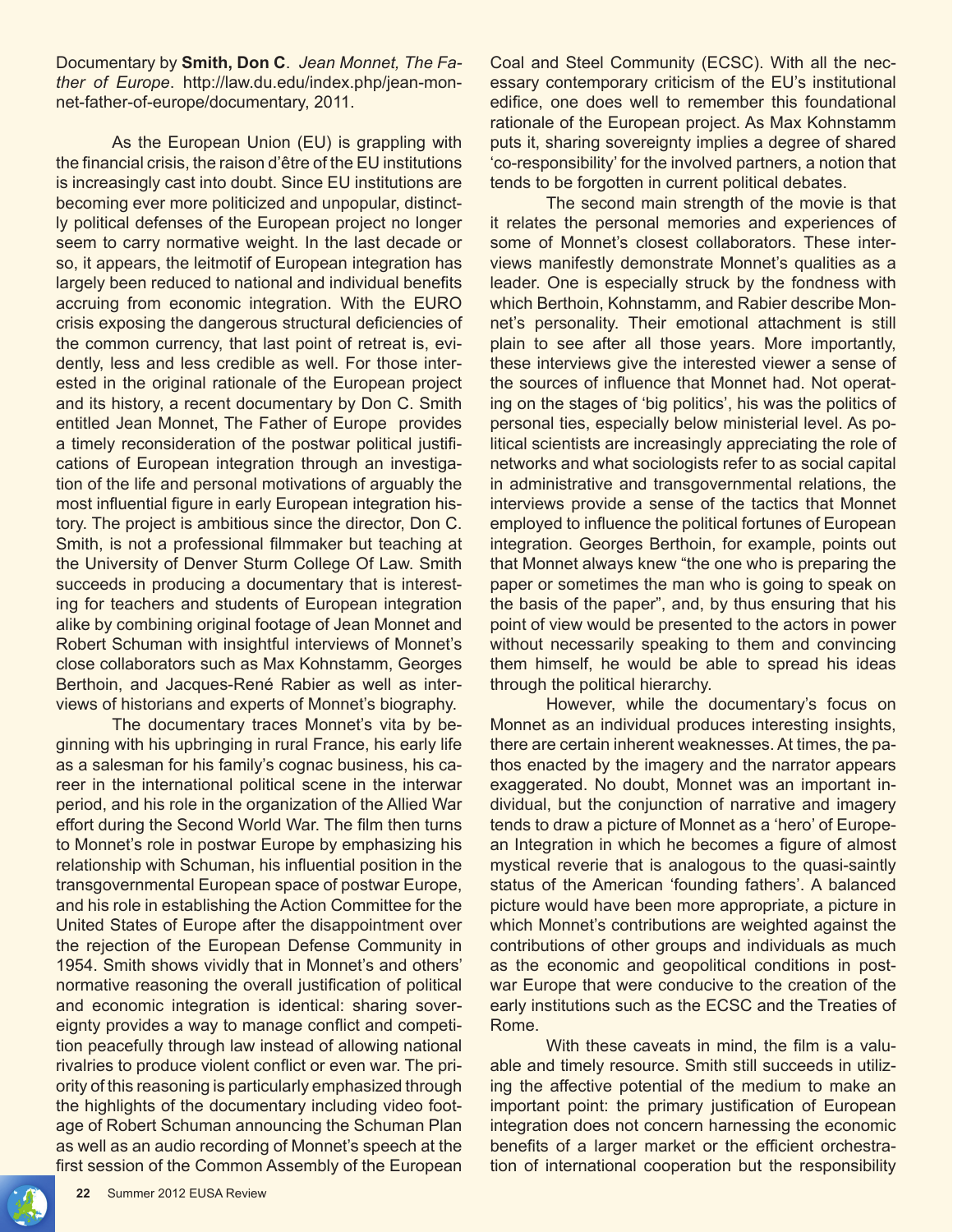Documentary by **Smith, Don C**. *Jean Monnet, The Father of Europe*. http://law.du.edu/index.php/jean-monnet-father-of-europe/documentary, 2011.

As the European Union (EU) is grappling with the financial crisis, the raison d'être of the EU institutions is increasingly cast into doubt. Since EU institutions are becoming ever more politicized and unpopular, distinctly political defenses of the European project no longer seem to carry normative weight. In the last decade or so, it appears, the leitmotif of European integration has largely been reduced to national and individual benefits accruing from economic integration. With the EURO crisis exposing the dangerous structural deficiencies of the common currency, that last point of retreat is, evidently, less and less credible as well. For those interested in the original rationale of the European project and its history, a recent documentary by Don C. Smith entitled Jean Monnet, The Father of Europe provides a timely reconsideration of the postwar political justifications of European integration through an investigation of the life and personal motivations of arguably the most influential figure in early European integration history. The project is ambitious since the director, Don C. Smith, is not a professional filmmaker but teaching at the University of Denver Sturm College Of Law. Smith succeeds in producing a documentary that is interesting for teachers and students of European integration alike by combining original footage of Jean Monnet and Robert Schuman with insightful interviews of Monnet's close collaborators such as Max Kohnstamm, Georges Berthoin, and Jacques-René Rabier as well as interviews of historians and experts of Monnet's biography.

The documentary traces Monnet's vita by beginning with his upbringing in rural France, his early life as a salesman for his family's cognac business, his career in the international political scene in the interwar period, and his role in the organization of the Allied War effort during the Second World War. The film then turns to Monnet's role in postwar Europe by emphasizing his relationship with Schuman, his influential position in the transgovernmental European space of postwar Europe, and his role in establishing the Action Committee for the United States of Europe after the disappointment over the rejection of the European Defense Community in 1954. Smith shows vividly that in Monnet's and others' normative reasoning the overall justification of political and economic integration is identical: sharing sovereignty provides a way to manage conflict and competition peacefully through law instead of allowing national rivalries to produce violent conflict or even war. The priority of this reasoning is particularly emphasized through the highlights of the documentary including video footage of Robert Schuman announcing the Schuman Plan as well as an audio recording of Monnet's speech at the first session of the Common Assembly of the European

Coal and Steel Community (ECSC). With all the necessary contemporary criticism of the EU's institutional edifice, one does well to remember this foundational rationale of the European project. As Max Kohnstamm puts it, sharing sovereignty implies a degree of shared 'co-responsibility' for the involved partners, a notion that tends to be forgotten in current political debates.

The second main strength of the movie is that it relates the personal memories and experiences of some of Monnet's closest collaborators. These interviews manifestly demonstrate Monnet's qualities as a leader. One is especially struck by the fondness with which Berthoin, Kohnstamm, and Rabier describe Monnet's personality. Their emotional attachment is still plain to see after all those years. More importantly, these interviews give the interested viewer a sense of the sources of influence that Monnet had. Not operating on the stages of 'big politics', his was the politics of personal ties, especially below ministerial level. As political scientists are increasingly appreciating the role of networks and what sociologists refer to as social capital in administrative and transgovernmental relations, the interviews provide a sense of the tactics that Monnet employed to influence the political fortunes of European integration. Georges Berthoin, for example, points out that Monnet always knew "the one who is preparing the paper or sometimes the man who is going to speak on the basis of the paper", and, by thus ensuring that his point of view would be presented to the actors in power without necessarily speaking to them and convincing them himself, he would be able to spread his ideas through the political hierarchy.

However, while the documentary's focus on Monnet as an individual produces interesting insights, there are certain inherent weaknesses. At times, the pathos enacted by the imagery and the narrator appears exaggerated. No doubt, Monnet was an important individual, but the conjunction of narrative and imagery tends to draw a picture of Monnet as a 'hero' of European Integration in which he becomes a figure of almost mystical reverie that is analogous to the quasi-saintly status of the American 'founding fathers'. A balanced picture would have been more appropriate, a picture in which Monnet's contributions are weighted against the contributions of other groups and individuals as much as the economic and geopolitical conditions in postwar Europe that were conducive to the creation of the early institutions such as the ECSC and the Treaties of Rome.

 With these caveats in mind, the film is a valuable and timely resource. Smith still succeeds in utilizing the affective potential of the medium to make an important point: the primary justification of European integration does not concern harnessing the economic benefits of a larger market or the efficient orchestration of international cooperation but the responsibility

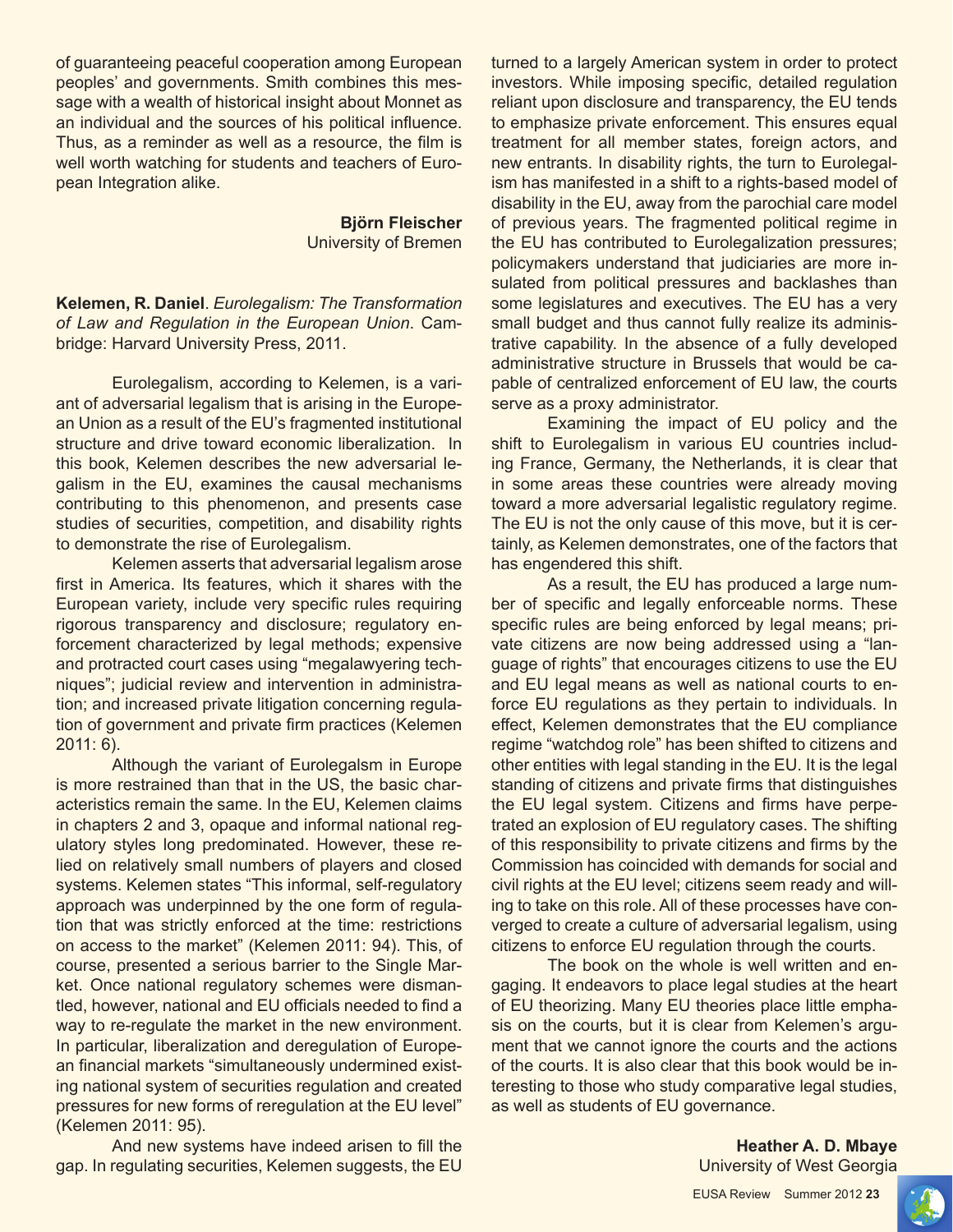of guaranteeing peaceful cooperation among European peoples' and governments. Smith combines this message with a wealth of historical insight about Monnet as an individual and the sources of his political influence. Thus, as a reminder as well as a resource, the film is well worth watching for students and teachers of European Integration alike.

> **Björn Fleischer** University of Bremen

**Kelemen, R. Daniel**. *Eurolegalism: The Transformation of Law and Regulation in the European Union*. Cambridge: Harvard University Press, 2011.

Eurolegalism, according to Kelemen, is a variant of adversarial legalism that is arising in the European Union as a result of the EU's fragmented institutional structure and drive toward economic liberalization. In this book, Kelemen describes the new adversarial legalism in the EU, examines the causal mechanisms contributing to this phenomenon, and presents case studies of securities, competition, and disability rights to demonstrate the rise of Eurolegalism.

Kelemen asserts that adversarial legalism arose first in America. Its features, which it shares with the European variety, include very specific rules requiring rigorous transparency and disclosure; regulatory enforcement characterized by legal methods; expensive and protracted court cases using "megalawyering techniques"; judicial review and intervention in administration; and increased private litigation concerning regulation of government and private firm practices (Kelemen 2011: 6).

Although the variant of Eurolegalsm in Europe is more restrained than that in the US, the basic characteristics remain the same. In the EU, Kelemen claims in chapters 2 and 3, opaque and informal national regulatory styles long predominated. However, these relied on relatively small numbers of players and closed systems. Kelemen states "This informal, self-regulatory approach was underpinned by the one form of regulation that was strictly enforced at the time: restrictions on access to the market" (Kelemen 2011: 94). This, of course, presented a serious barrier to the Single Market. Once national regulatory schemes were dismantled, however, national and EU officials needed to find a way to re-regulate the market in the new environment. In particular, liberalization and deregulation of European financial markets "simultaneously undermined existing national system of securities regulation and created pressures for new forms of reregulation at the EU level" (Kelemen 2011: 95).

 And new systems have indeed arisen to fill the gap. In regulating securities, Kelemen suggests, the EU

turned to a largely American system in order to protect investors. While imposing specific, detailed regulation reliant upon disclosure and transparency, the EU tends to emphasize private enforcement. This ensures equal treatment for all member states, foreign actors, and new entrants. In disability rights, the turn to Eurolegalism has manifested in a shift to a rights-based model of disability in the EU, away from the parochial care model of previous years. The fragmented political regime in the EU has contributed to Eurolegalization pressures; policymakers understand that judiciaries are more insulated from political pressures and backlashes than some legislatures and executives. The EU has a very small budget and thus cannot fully realize its administrative capability. In the absence of a fully developed administrative structure in Brussels that would be capable of centralized enforcement of EU law, the courts serve as a proxy administrator.

Examining the impact of EU policy and the shift to Eurolegalism in various EU countries including France, Germany, the Netherlands, it is clear that in some areas these countries were already moving toward a more adversarial legalistic regulatory regime. The EU is not the only cause of this move, but it is certainly, as Kelemen demonstrates, one of the factors that has engendered this shift.

As a result, the EU has produced a large number of specific and legally enforceable norms. These specific rules are being enforced by legal means; private citizens are now being addressed using a "language of rights" that encourages citizens to use the EU and EU legal means as well as national courts to enforce EU regulations as they pertain to individuals. In effect, Kelemen demonstrates that the EU compliance regime "watchdog role" has been shifted to citizens and other entities with legal standing in the EU. It is the legal standing of citizens and private firms that distinguishes the EU legal system. Citizens and firms have perpetrated an explosion of EU regulatory cases. The shifting of this responsibility to private citizens and firms by the Commission has coincided with demands for social and civil rights at the EU level; citizens seem ready and willing to take on this role. All of these processes have converged to create a culture of adversarial legalism, using citizens to enforce EU regulation through the courts.

The book on the whole is well written and engaging. It endeavors to place legal studies at the heart of EU theorizing. Many EU theories place little emphasis on the courts, but it is clear from Kelemen's argument that we cannot ignore the courts and the actions of the courts. It is also clear that this book would be interesting to those who study comparative legal studies, as well as students of EU governance.

> **Heather A. D. Mbaye** University of West Georgia

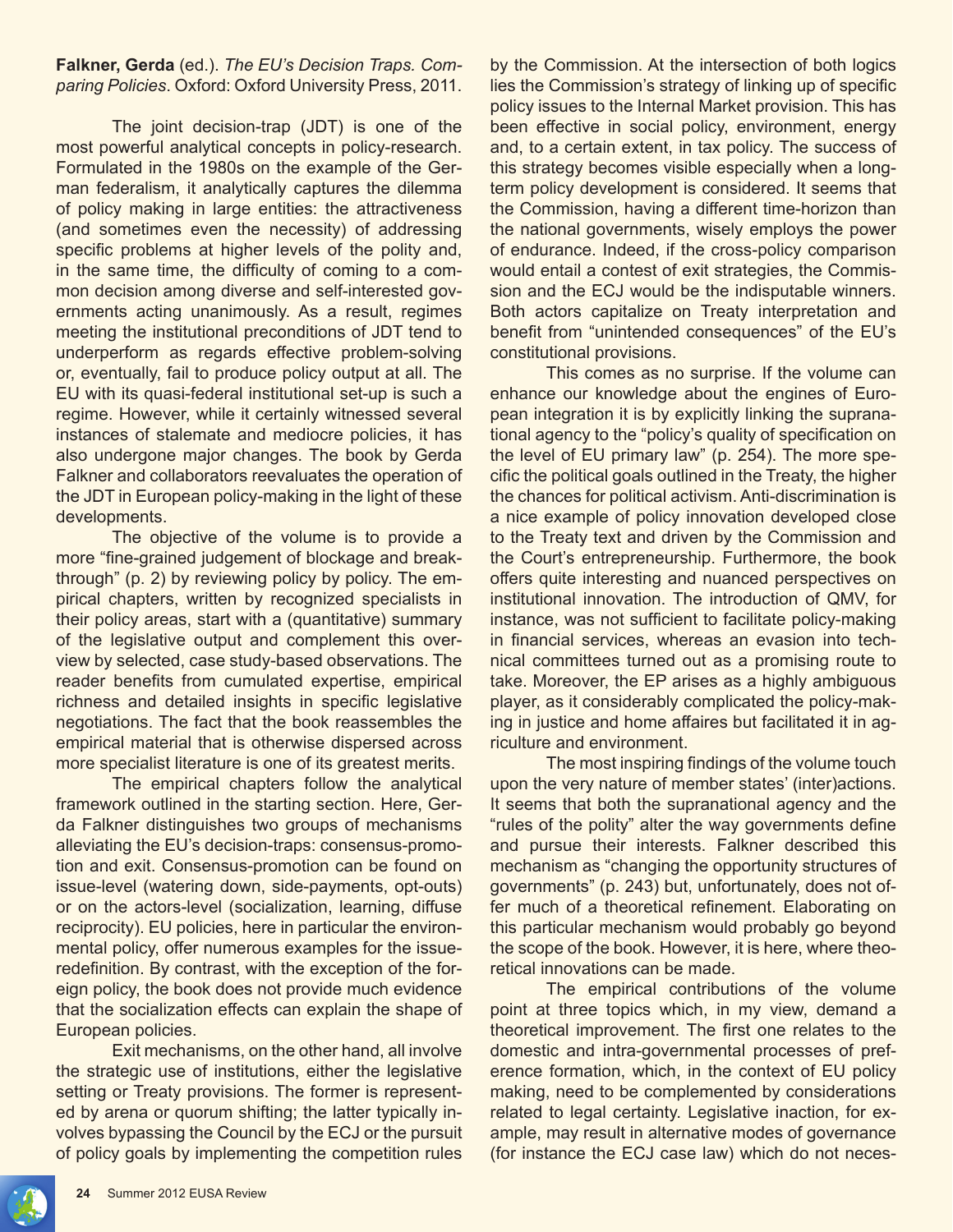## **Falkner, Gerda** (ed.). *The EU's Decision Traps. Comparing Policies*. Oxford: Oxford University Press, 2011.

The joint decision-trap (JDT) is one of the most powerful analytical concepts in policy-research. Formulated in the 1980s on the example of the German federalism, it analytically captures the dilemma of policy making in large entities: the attractiveness (and sometimes even the necessity) of addressing specific problems at higher levels of the polity and, in the same time, the difficulty of coming to a common decision among diverse and self-interested governments acting unanimously. As a result, regimes meeting the institutional preconditions of JDT tend to underperform as regards effective problem-solving or, eventually, fail to produce policy output at all. The EU with its quasi-federal institutional set-up is such a regime. However, while it certainly witnessed several instances of stalemate and mediocre policies, it has also undergone major changes. The book by Gerda Falkner and collaborators reevaluates the operation of the JDT in European policy-making in the light of these developments.

The objective of the volume is to provide a more "fine-grained judgement of blockage and breakthrough" (p. 2) by reviewing policy by policy. The empirical chapters, written by recognized specialists in their policy areas, start with a (quantitative) summary of the legislative output and complement this overview by selected, case study-based observations. The reader benefits from cumulated expertise, empirical richness and detailed insights in specific legislative negotiations. The fact that the book reassembles the empirical material that is otherwise dispersed across more specialist literature is one of its greatest merits.

The empirical chapters follow the analytical framework outlined in the starting section. Here, Gerda Falkner distinguishes two groups of mechanisms alleviating the EU's decision-traps: consensus-promotion and exit. Consensus-promotion can be found on issue-level (watering down, side-payments, opt-outs) or on the actors-level (socialization, learning, diffuse reciprocity). EU policies, here in particular the environmental policy, offer numerous examples for the issueredefinition. By contrast, with the exception of the foreign policy, the book does not provide much evidence that the socialization effects can explain the shape of European policies.

Exit mechanisms, on the other hand, all involve the strategic use of institutions, either the legislative setting or Treaty provisions. The former is represented by arena or quorum shifting; the latter typically involves bypassing the Council by the ECJ or the pursuit of policy goals by implementing the competition rules

by the Commission. At the intersection of both logics lies the Commission's strategy of linking up of specific policy issues to the Internal Market provision. This has been effective in social policy, environment, energy and, to a certain extent, in tax policy. The success of this strategy becomes visible especially when a longterm policy development is considered. It seems that the Commission, having a different time-horizon than the national governments, wisely employs the power of endurance. Indeed, if the cross-policy comparison would entail a contest of exit strategies, the Commission and the ECJ would be the indisputable winners. Both actors capitalize on Treaty interpretation and benefit from "unintended consequences" of the EU's constitutional provisions.

This comes as no surprise. If the volume can enhance our knowledge about the engines of European integration it is by explicitly linking the supranational agency to the "policy's quality of specification on the level of EU primary law" (p. 254). The more specific the political goals outlined in the Treaty, the higher the chances for political activism. Anti-discrimination is a nice example of policy innovation developed close to the Treaty text and driven by the Commission and the Court's entrepreneurship. Furthermore, the book offers quite interesting and nuanced perspectives on institutional innovation. The introduction of QMV, for instance, was not sufficient to facilitate policy-making in financial services, whereas an evasion into technical committees turned out as a promising route to take. Moreover, the EP arises as a highly ambiguous player, as it considerably complicated the policy-making in justice and home affaires but facilitated it in agriculture and environment.

 The most inspiring findings of the volume touch upon the very nature of member states' (inter)actions. It seems that both the supranational agency and the "rules of the polity" alter the way governments define and pursue their interests. Falkner described this mechanism as "changing the opportunity structures of governments" (p. 243) but, unfortunately, does not offer much of a theoretical refinement. Elaborating on this particular mechanism would probably go beyond the scope of the book. However, it is here, where theoretical innovations can be made.

The empirical contributions of the volume point at three topics which, in my view, demand a theoretical improvement. The first one relates to the domestic and intra-governmental processes of preference formation, which, in the context of EU policy making, need to be complemented by considerations related to legal certainty. Legislative inaction, for example, may result in alternative modes of governance (for instance the ECJ case law) which do not neces-